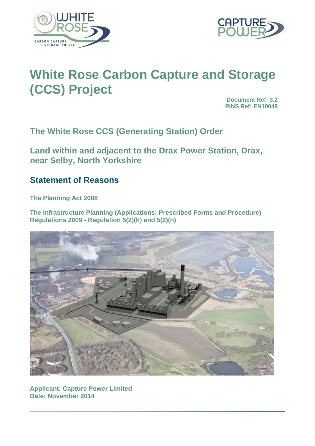



# **White Rose Carbon Capture and Storage (CCS) Project**

**Document Ref: 3.2 PINS Ref: EN10048**

**The White Rose CCS (Generating Station) Order** 

**Land within and adjacent to the Drax Power Station, Drax, near Selby, North Yorkshire** 

# **Statement of Reasons**

**The Planning Act 2008** 

**The Infrastructure Planning (Applications: Prescribed Forms and Procedure) Regulations 2009 - Regulation 5(2)(h) and 5(2)(n)** 



**Applicant: Capture Power Limited Date: November 2014**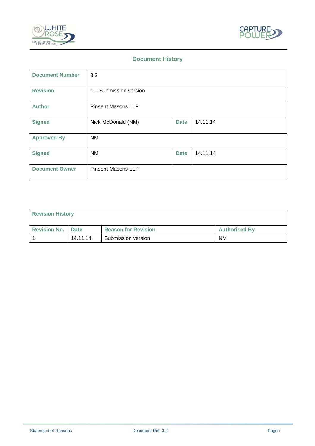



# **Document History**

| <b>Document Number</b> | 3.2                       |             |          |  |
|------------------------|---------------------------|-------------|----------|--|
| <b>Revision</b>        | 1 - Submission version    |             |          |  |
| <b>Author</b>          | <b>Pinsent Masons LLP</b> |             |          |  |
| <b>Signed</b>          | Nick McDonald (NM)        | <b>Date</b> | 14.11.14 |  |
| <b>Approved By</b>     | <b>NM</b>                 |             |          |  |
| <b>Signed</b>          | <b>NM</b>                 | <b>Date</b> | 14.11.14 |  |
| <b>Document Owner</b>  | <b>Pinsent Masons LLP</b> |             |          |  |

| <b>Revision History</b>    |          |                            |                      |
|----------------------------|----------|----------------------------|----------------------|
| <b>Revision No.   Date</b> |          | <b>Reason for Revision</b> | <b>Authorised By</b> |
|                            | 14.11.14 | Submission version         | <b>NM</b>            |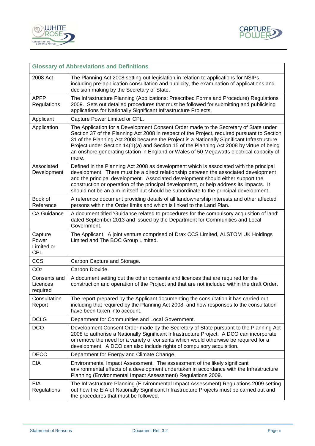



|                                              | <b>Glossary of Abbreviations and Definitions</b>                                                                                                                                                                                                                                                                                                                                                                                                                                    |
|----------------------------------------------|-------------------------------------------------------------------------------------------------------------------------------------------------------------------------------------------------------------------------------------------------------------------------------------------------------------------------------------------------------------------------------------------------------------------------------------------------------------------------------------|
| 2008 Act                                     | The Planning Act 2008 setting out legislation in relation to applications for NSIPs,<br>including pre-application consultation and publicity, the examination of applications and<br>decision making by the Secretary of State.                                                                                                                                                                                                                                                     |
| <b>APFP</b><br>Regulations                   | The Infrastructure Planning (Applications: Prescribed Forms and Procedure) Regulations<br>2009. Sets out detailed procedures that must be followed for submitting and publicising<br>applications for Nationally Significant Infrastructure Projects.                                                                                                                                                                                                                               |
| Applicant                                    | Capture Power Limited or CPL.                                                                                                                                                                                                                                                                                                                                                                                                                                                       |
| Application                                  | The Application for a Development Consent Order made to the Secretary of State under<br>Section 37 of the Planning Act 2008 in respect of the Project, required pursuant to Section<br>31 of the Planning Act 2008 because the Project is a Nationally Significant Infrastructure<br>Project under Section 14(1)(a) and Section 15 of the Planning Act 2008 by virtue of being<br>an onshore generating station in England or Wales of 50 Megawatts electrical capacity of<br>more. |
| Associated<br>Development                    | Defined in the Planning Act 2008 as development which is associated with the principal<br>development. There must be a direct relationship between the associated development<br>and the principal development. Associated development should either support the<br>construction or operation of the principal development, or help address its impacts. It<br>should not be an aim in itself but should be subordinate to the principal development.                               |
| Book of<br>Reference                         | A reference document providing details of all landownership interests and other affected<br>persons within the Order limits and which is linked to the Land Plan.                                                                                                                                                                                                                                                                                                                   |
| <b>CA Guidance</b>                           | A document titled 'Guidance related to procedures for the compulsory acquisition of land'<br>dated September 2013 and issued by the Department for Communities and Local<br>Government.                                                                                                                                                                                                                                                                                             |
| Capture<br>Power<br>Limited or<br><b>CPL</b> | The Applicant. A joint venture comprised of Drax CCS Limited, ALSTOM UK Holdings<br>Limited and The BOC Group Limited.                                                                                                                                                                                                                                                                                                                                                              |
| <b>CCS</b>                                   | Carbon Capture and Storage.                                                                                                                                                                                                                                                                                                                                                                                                                                                         |
| CO <sub>2</sub>                              | Carbon Dioxide.                                                                                                                                                                                                                                                                                                                                                                                                                                                                     |
| Consents and<br>Licences<br>required         | A document setting out the other consents and licences that are required for the<br>construction and operation of the Project and that are not included within the draft Order.                                                                                                                                                                                                                                                                                                     |
| Consultation<br>Report                       | The report prepared by the Applicant documenting the consultation it has carried out<br>including that required by the Planning Act 2008, and how responses to the consultation<br>have been taken into account.                                                                                                                                                                                                                                                                    |
| <b>DCLG</b>                                  | Department for Communities and Local Government.                                                                                                                                                                                                                                                                                                                                                                                                                                    |
| <b>DCO</b>                                   | Development Consent Order made by the Secretary of State pursuant to the Planning Act<br>2008 to authorise a Nationally Significant Infrastructure Project. A DCO can incorporate<br>or remove the need for a variety of consents which would otherwise be required for a<br>development. A DCO can also include rights of compulsory acquisition.                                                                                                                                  |
| <b>DECC</b>                                  | Department for Energy and Climate Change.                                                                                                                                                                                                                                                                                                                                                                                                                                           |
| EIA                                          | Environmental Impact Assessment. The assessment of the likely significant<br>environmental effects of a development undertaken in accordance with the Infrastructure<br>Planning (Environmental Impact Assessment) Regulations 2009.                                                                                                                                                                                                                                                |
| EIA<br>Regulations                           | The Infrastructure Planning (Environmental Impact Assessment) Regulations 2009 setting<br>out how the EIA of Nationally Significant Infrastructure Projects must be carried out and<br>the procedures that must be followed.                                                                                                                                                                                                                                                        |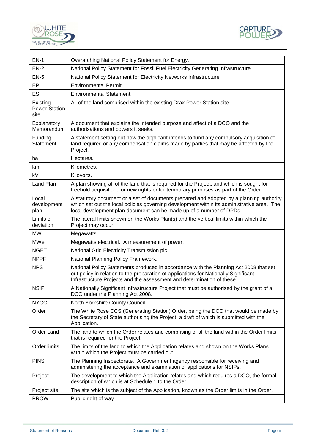



| $EN-1$                                   | Overarching National Policy Statement for Energy.                                                                                                                                                                                                            |  |
|------------------------------------------|--------------------------------------------------------------------------------------------------------------------------------------------------------------------------------------------------------------------------------------------------------------|--|
| $EN-2$                                   | National Policy Statement for Fossil Fuel Electricity Generating Infrastructure.                                                                                                                                                                             |  |
| $EN-5$                                   | National Policy Statement for Electricity Networks Infrastructure.                                                                                                                                                                                           |  |
| EP                                       | <b>Environmental Permit.</b>                                                                                                                                                                                                                                 |  |
| ES                                       | <b>Environmental Statement.</b>                                                                                                                                                                                                                              |  |
| Existing<br><b>Power Station</b><br>site | All of the land comprised within the existing Drax Power Station site.                                                                                                                                                                                       |  |
| Explanatory<br>Memorandum                | A document that explains the intended purpose and affect of a DCO and the<br>authorisations and powers it seeks.                                                                                                                                             |  |
| Funding<br><b>Statement</b>              | A statement setting out how the applicant intends to fund any compulsory acquisition of<br>land required or any compensation claims made by parties that may be affected by the<br>Project.                                                                  |  |
| ha                                       | Hectares.                                                                                                                                                                                                                                                    |  |
| km                                       | Kilometres.                                                                                                                                                                                                                                                  |  |
| kV                                       | Kilovolts.                                                                                                                                                                                                                                                   |  |
| Land Plan                                | A plan showing all of the land that is required for the Project, and which is sought for<br>freehold acquisition, for new rights or for temporary purposes as part of the Order.                                                                             |  |
| Local<br>development<br>plan             | A statutory document or a set of documents prepared and adopted by a planning authority<br>which set out the local policies governing development within its administrative area. The<br>local development plan document can be made up of a number of DPDs. |  |
| Limits of<br>deviation                   | The lateral limits shown on the Works Plan(s) and the vertical limits within which the<br>Project may occur.                                                                                                                                                 |  |
| <b>MW</b>                                | Megawatts.                                                                                                                                                                                                                                                   |  |
| <b>MWe</b>                               | Megawatts electrical. A measurement of power.                                                                                                                                                                                                                |  |
| <b>NGET</b>                              | National Grid Electricity Transmission plc.                                                                                                                                                                                                                  |  |
| <b>NPPF</b>                              | National Planning Policy Framework.                                                                                                                                                                                                                          |  |
| <b>NPS</b>                               | National Policy Statements produced in accordance with the Planning Act 2008 that set<br>out policy in relation to the preparation of applications for Nationally Significant<br>Infrastructure Projects and the assessment and determination of these.      |  |
| <b>NSIP</b>                              | A Nationally Significant Infrastructure Project that must be authorised by the grant of a<br>DCO under the Planning Act 2008.                                                                                                                                |  |
| <b>NYCC</b>                              | North Yorkshire County Council.                                                                                                                                                                                                                              |  |
| Order                                    | The White Rose CCS (Generating Station) Order, being the DCO that would be made by<br>the Secretary of State authorising the Project, a draft of which is submitted with the<br>Application.                                                                 |  |
| Order Land                               | The land to which the Order relates and comprising of all the land within the Order limits<br>that is required for the Project.                                                                                                                              |  |
| Order limits                             | The limits of the land to which the Application relates and shown on the Works Plans<br>within which the Project must be carried out.                                                                                                                        |  |
| <b>PINS</b>                              | The Planning Inspectorate. A Government agency responsible for receiving and<br>administering the acceptance and examination of applications for NSIPs.                                                                                                      |  |
| Project                                  | The development to which the Application relates and which requires a DCO, the formal<br>description of which is at Schedule 1 to the Order.                                                                                                                 |  |
| Project site                             | The site which is the subject of the Application, known as the Order limits in the Order.                                                                                                                                                                    |  |
| <b>PROW</b>                              | Public right of way.                                                                                                                                                                                                                                         |  |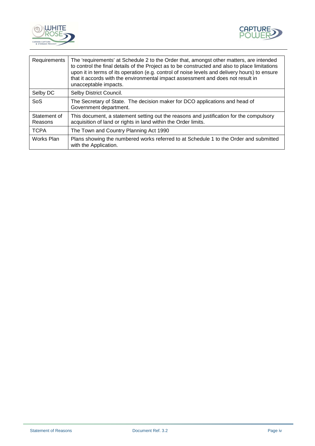



| Requirements            | The 'requirements' at Schedule 2 to the Order that, amongst other matters, are intended<br>to control the final details of the Project as to be constructed and also to place limitations<br>upon it in terms of its operation (e.g. control of noise levels and delivery hours) to ensure<br>that it accords with the environmental impact assessment and does not result in<br>unacceptable impacts. |
|-------------------------|--------------------------------------------------------------------------------------------------------------------------------------------------------------------------------------------------------------------------------------------------------------------------------------------------------------------------------------------------------------------------------------------------------|
| Selby DC                | Selby District Council.                                                                                                                                                                                                                                                                                                                                                                                |
| SoS                     | The Secretary of State. The decision maker for DCO applications and head of<br>Government department.                                                                                                                                                                                                                                                                                                  |
| Statement of<br>Reasons | This document, a statement setting out the reasons and justification for the compulsory<br>acquisition of land or rights in land within the Order limits.                                                                                                                                                                                                                                              |
| <b>TCPA</b>             | The Town and Country Planning Act 1990                                                                                                                                                                                                                                                                                                                                                                 |
| Works Plan              | Plans showing the numbered works referred to at Schedule 1 to the Order and submitted<br>with the Application.                                                                                                                                                                                                                                                                                         |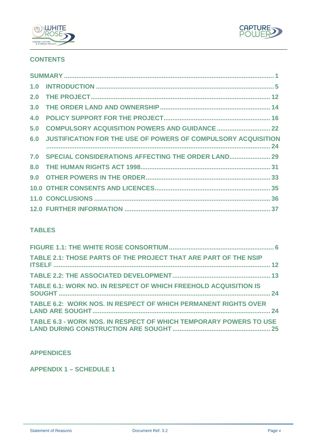



# **CONTENTS**

| 3.0 |                                                                   |  |
|-----|-------------------------------------------------------------------|--|
|     |                                                                   |  |
|     | 5.0 COMPULSORY ACQUISITION POWERS AND GUIDANCE  22                |  |
|     | 6.0 JUSTIFICATION FOR THE USE OF POWERS OF COMPULSORY ACQUISITION |  |
|     | 7.0 SPECIAL CONSIDERATIONS AFFECTING THE ORDER LAND 29            |  |
|     |                                                                   |  |
|     |                                                                   |  |
|     |                                                                   |  |
|     |                                                                   |  |
|     |                                                                   |  |

# **TABLES**

| TABLE 2.1: THOSE PARTS OF THE PROJECT THAT ARE PART OF THE NSIP   |  |
|-------------------------------------------------------------------|--|
|                                                                   |  |
| TABLE 6.1: WORK NO. IN RESPECT OF WHICH FREEHOLD ACQUISITION IS   |  |
| TABLE 6.2: WORK NOS. IN RESPECT OF WHICH PERMANENT RIGHTS OVER    |  |
| TABLE 6.3 - WORK NOS. IN RESPECT OF WHICH TEMPORARY POWERS TO USE |  |

# **APPENDICES**

**APPENDIX 1 – SCHEDULE 1**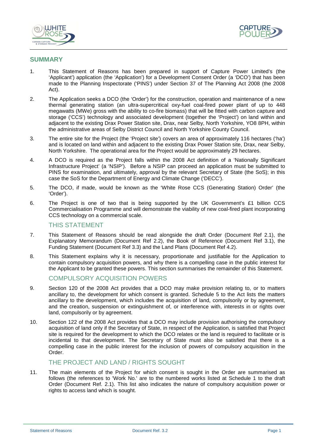



#### **SUMMARY**

- 1. This Statement of Reasons has been prepared in support of Capture Power Limited's (the 'Applicant') application (the 'Application') for a Development Consent Order (a 'DCO') that has been made to the Planning Inspectorate ('PINS') under Section 37 of The Planning Act 2008 (the 2008 Act).
- 2. The Application seeks a DCO (the 'Order') for the construction, operation and maintenance of a new thermal generating station (an ultra-supercritical oxy-fuel coal-fired power plant of up to 448 megawatts (MWe) gross with the ability to co-fire biomass) that will be fitted with carbon capture and storage ('CCS') technology and associated development (together the 'Project') on land within and adjacent to the existing Drax Power Station site, Drax, near Selby, North Yorkshire, YO8 8PH, within the administrative areas of Selby District Council and North Yorkshire County Council.
- 3. The entire site for the Project (the 'Project site') covers an area of approximately 116 hectares ('ha') and is located on land within and adjacent to the existing Drax Power Station site, Drax, near Selby, North Yorkshire. The operational area for the Project would be approximately 29 hectares.
- 4. A DCO is required as the Project falls within the 2008 Act definition of a 'Nationally Significant Infrastructure Project' (a 'NSIP'). Before a NSIP can proceed an application must be submitted to PINS for examination, and ultimately, approval by the relevant Secretary of State (the SoS); in this case the SoS for the Department of Energy and Climate Change ('DECC').
- 5. The DCO, if made, would be known as the 'White Rose CCS (Generating Station) Order' (the 'Order').
- 6. The Project is one of two that is being supported by the UK Government's £1 billion CCS Commercialisation Programme and will demonstrate the viability of new coal-fired plant incorporating CCS technology on a commercial scale.

#### THIS STATEMENT

- 7. This Statement of Reasons should be read alongside the draft Order (Document Ref 2.1), the Explanatory Memorandum (Document Ref 2.2), the Book of Reference (Document Ref 3.1), the Funding Statement (Document Ref 3.3) and the Land Plans (Document Ref 4.2).
- 8. This Statement explains why it is necessary, proportionate and justifiable for the Application to contain compulsory acquisition powers, and why there is a compelling case in the public interest for the Applicant to be granted these powers. This section summarises the remainder of this Statement.

## COMPULSORY ACQUISITION POWERS

- 9. Section 120 of the 2008 Act provides that a DCO may make provision relating to, or to matters ancillary to, the development for which consent is granted. Schedule 5 to the Act lists the matters ancillary to the development, which includes the acquisition of land, compulsorily or by agreement, and the creation, suspension or extinguishment of, or interference with, interests in or rights over land, compulsorily or by agreement.
- 10. Section 122 of the 2008 Act provides that a DCO may include provision authorising the compulsory acquisition of land only if the Secretary of State, in respect of the Application, is satisfied that Project site is required for the development to which the DCO relates or the land is required to facilitate or is incidental to that development. The Secretary of State must also be satisfied that there is a compelling case in the public interest for the inclusion of powers of compulsory acquisition in the Order.

# THE PROJECT AND LAND / RIGHTS SOUGHT

11. The main elements of the Project for which consent is sought in the Order are summarised as follows (the references to 'Work No.' are to the numbered works listed at Schedule 1 to the draft Order (Document Ref. 2.1). This list also indicates the nature of compulsory acquisition power or rights to access land which is sought.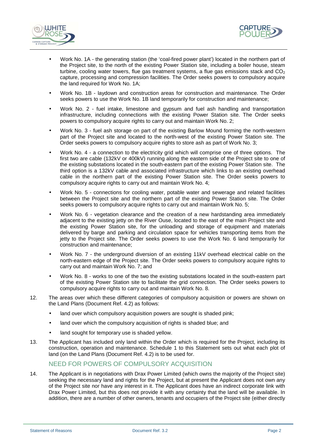



- Work No. 1A the generating station (the 'coal-fired power plant') located in the northern part of the Project site, to the north of the existing Power Station site, including a boiler house, steam turbine, cooling water towers, flue gas treatment systems, a flue gas emissions stack and  $CO<sub>2</sub>$ capture, processing and compression facilities. The Order seeks powers to compulsory acquire the land required for Work No. 1A;
- Work No. 1B laydown and construction areas for construction and maintenance. The Order seeks powers to use the Work No. 1B land temporarily for construction and maintenance;
- Work No. 2 fuel intake, limestone and gypsum and fuel ash handling and transportation infrastructure, including connections with the existing Power Station site. The Order seeks powers to compulsory acquire rights to carry out and maintain Work No. 2;
- Work No. 3 fuel ash storage on part of the existing Barlow Mound forming the north-western part of the Project site and located to the north-west of the existing Power Station site. The Order seeks powers to compulsory acquire rights to store ash as part of Work No. 3;
- Work No. 4 a connection to the electricity grid which will comprise one of three options. The first two are cable (132kV or 400kV) running along the eastern side of the Project site to one of the existing substations located in the south-eastern part of the existing Power Station site. The third option is a 132kV cable and associated infrastructure which links to an existing overhead cable in the northern part of the existing Power Station site. The Order seeks powers to compulsory acquire rights to carry out and maintain Work No. 4;
- Work No. 5 connections for cooling water, potable water and sewerage and related facilities between the Project site and the northern part of the existing Power Station site. The Order seeks powers to compulsory acquire rights to carry out and maintain Work No. 5;
- Work No. 6 vegetation clearance and the creation of a new hardstanding area immediately adjacent to the existing jetty on the River Ouse, located to the east of the main Project site and the existing Power Station site, for the unloading and storage of equipment and materials delivered by barge and parking and circulation space for vehicles transporting items from the jetty to the Project site. The Order seeks powers to use the Work No. 6 land temporarily for construction and maintenance;
- Work No. 7 the underground diversion of an existing 11kV overhead electrical cable on the north-eastern edge of the Project site. The Order seeks powers to compulsory acquire rights to carry out and maintain Work No. 7; and
- Work No. 8 works to one of the two the existing substations located in the south-eastern part of the existing Power Station site to facilitate the grid connection. The Order seeks powers to compulsory acquire rights to carry out and maintain Work No. 8.
- 12. The areas over which these different categories of compulsory acquisition or powers are shown on the Land Plans (Document Ref. 4.2) as follows:
	- land over which compulsory acquisition powers are sought is shaded pink;
	- land over which the compulsory acquisition of rights is shaded blue; and
	- land sought for temporary use is shaded yellow.
- 13. The Applicant has included only land within the Order which is required for the Project, including its construction, operation and maintenance. Schedule 1 to this Statement sets out what each plot of land (on the Land Plans (Document Ref. 4.2) is to be used for.

# NEED FOR POWERS OF COMPULSORY ACQUISITION

14. The Applicant is in negotiations with Drax Power Limited (which owns the majority of the Project site) seeking the necessary land and rights for the Project, but at present the Applicant does not own any of the Project site nor have any interest in it. The Applicant does have an indirect corporate link with Drax Power Limited, but this does not provide it with any certainty that the land will be available. In addition, there are a number of other owners, tenants and occupiers of the Project site (either directly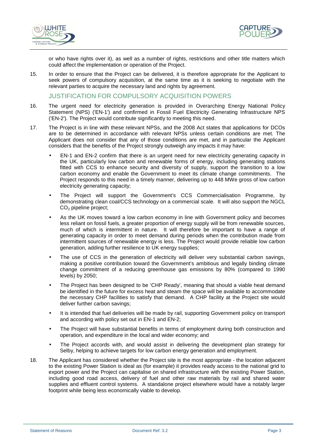



or who have rights over it), as well as a number of rights, restrictions and other title matters which could affect the implementation or operation of the Project.

15. In order to ensure that the Project can be delivered, it is therefore appropriate for the Applicant to seek powers of compulsory acquisition, at the same time as it is seeking to negotiate with the relevant parties to acquire the necessary land and rights by agreement.

JUSTIFICATION FOR COMPULSORY ACQUISITION POWERS

- 16. The urgent need for electricity generation is provided in Overarching Energy National Policy Statement (NPS) ('EN-1') and confirmed in Fossil Fuel Electricity Generating Infrastructure NPS ('EN-2'). The Project would contribute significantly to meeting this need.
- 17. The Project is in line with these relevant NPSs, and the 2008 Act states that applications for DCOs are to be determined in accordance with relevant NPSs unless certain conditions are met. The Applicant does not consider that any of those conditions are met, and in particular the Applicant considers that the benefits of the Project strongly outweigh any impacts it may have:
	- EN-1 and EN-2 confirm that there is an urgent need for new electricity generating capacity in the UK, particularly low carbon and renewable forms of energy, including generating stations fitted with CCS to enhance security and diversity of supply, support the transition to a low carbon economy and enable the Government to meet its climate change commitments. The Project responds to this need in a timely manner, delivering up to 448 MWe gross of low carbon electricity generating capacity;
	- The Project will support the Government's CCS Commercialisation Programme, by demonstrating clean coal/CCS technology on a commercial scale. It will also support the NGCL CO<sub>2</sub> pipeline project;
	- As the UK moves toward a low carbon economy in line with Government policy and becomes less reliant on fossil fuels, a greater proportion of energy supply will be from renewable sources, much of which is intermittent in nature. It will therefore be important to have a range of generating capacity in order to meet demand during periods when the contribution made from intermittent sources of renewable energy is less. The Project would provide reliable low carbon generation, adding further resilience to UK energy supplies;
	- The use of CCS in the generation of electricity will deliver very substantial carbon savings, making a positive contribution toward the Government's ambitious and legally binding climate change commitment of a reducing greenhouse gas emissions by 80% (compared to 1990 levels) by 2050;
	- The Project has been designed to be 'CHP Ready', meaning that should a viable heat demand be identified in the future for excess heat and steam the space will be available to accommodate the necessary CHP facilities to satisfy that demand. A CHP facility at the Project site would deliver further carbon savings;
	- It is intended that fuel deliveries will be made by rail, supporting Government policy on transport and according with policy set out in EN-1 and EN-2;
	- The Project will have substantial benefits in terms of employment during both construction and operation, and expenditure in the local and wider economy; and
	- The Project accords with, and would assist in delivering the development plan strategy for Selby, helping to achieve targets for low carbon energy generation and employment.
- 18. The Applicant has considered whether the Project site is the most appropriate the location adjacent to the existing Power Station is ideal as (for example) it provides ready access to the national grid to export power and the Project can capitalise on shared infrastructure with the existing Power Station, including good road access, delivery of fuel and other raw materials by rail and shared water supplies and effluent control systems. A standalone project elsewhere would have a notably larger footprint while being less economically viable to develop.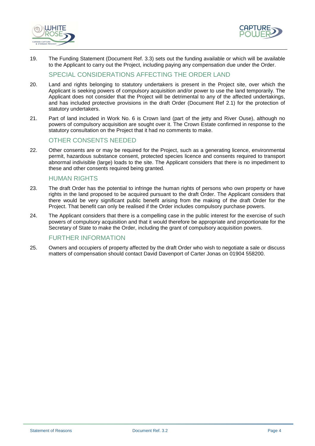



19. The Funding Statement (Document Ref. 3.3) sets out the funding available or which will be available to the Applicant to carry out the Project, including paying any compensation due under the Order.

# SPECIAL CONSIDERATIONS AFFECTING THE ORDER LAND

- 20. Land and rights belonging to statutory undertakers is present in the Project site, over which the Applicant is seeking powers of compulsory acquisition and/or power to use the land temporarily. The Applicant does not consider that the Project will be detrimental to any of the affected undertakings, and has included protective provisions in the draft Order (Document Ref 2.1) for the protection of statutory undertakers.
- 21. Part of land included in Work No. 6 is Crown land (part of the jetty and River Ouse), although no powers of compulsory acquisition are sought over it. The Crown Estate confirmed in response to the statutory consultation on the Project that it had no comments to make.

# OTHER CONSENTS NEEDED

22. Other consents are or may be required for the Project, such as a generating licence, environmental permit, hazardous substance consent, protected species licence and consents required to transport abnormal indivisible (large) loads to the site. The Applicant considers that there is no impediment to these and other consents required being granted.

## HUMAN RIGHTS

- 23. The draft Order has the potential to infringe the human rights of persons who own property or have rights in the land proposed to be acquired pursuant to the draft Order. The Applicant considers that there would be very significant public benefit arising from the making of the draft Order for the Project. That benefit can only be realised if the Order includes compulsory purchase powers.
- 24. The Applicant considers that there is a compelling case in the public interest for the exercise of such powers of compulsory acquisition and that it would therefore be appropriate and proportionate for the Secretary of State to make the Order, including the grant of compulsory acquisition powers.

## FURTHER INFORMATION

25. Owners and occupiers of property affected by the draft Order who wish to negotiate a sale or discuss matters of compensation should contact David Davenport of Carter Jonas on 01904 558200.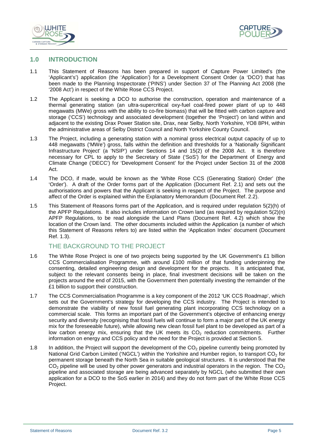



#### **1.0 INTRODUCTION**

- 1.1 This Statement of Reasons has been prepared in support of Capture Power Limited's (the 'Applicant's') application (the 'Application') for a Development Consent Order (a 'DCO') that has been made to the Planning Inspectorate ('PINS') under Section 37 of The Planning Act 2008 (the '2008 Act') in respect of the White Rose CCS Project.
- 1.2 The Applicant is seeking a DCO to authorise the construction, operation and maintenance of a thermal generating station (an ultra-supercritical oxy-fuel coal-fired power plant of up to 448 megawatts (MWe) gross with the ability to co-fire biomass) that will be fitted with carbon capture and storage ('CCS') technology and associated development (together the 'Project') on land within and adjacent to the existing Drax Power Station site, Drax, near Selby, North Yorkshire, YO8 8PH, within the administrative areas of Selby District Council and North Yorkshire County Council.
- 1.3 The Project, including a generating station with a nominal gross electrical output capacity of up to 448 megawatts ('MWe') gross, falls within the definition and thresholds for a 'Nationally Significant Infrastructure Project' (a 'NSIP') under Sections 14 and 15(2) of the 2008 Act. It is therefore necessary for CPL to apply to the Secretary of State ('SoS') for the Department of Energy and Climate Change ('DECC') for 'Development Consent' for the Project under Section 31 of the 2008 Act.
- 1.4 The DCO, if made, would be known as the 'White Rose CCS (Generating Station) Order' (the 'Order'). A draft of the Order forms part of the Application (Document Ref. 2.1) and sets out the authorisations and powers that the Applicant is seeking in respect of the Project. The purpose and affect of the Order is explained within the Explanatory Memorandum (Document Ref. 2.2).
- 1.5 This Statement of Reasons forms part of the Application, and is required under regulation 5(2)(h) of the APFP Regulations. It also includes information on Crown land (as required by regulation 5(2)(n) APFP Regulations, to be read alongside the Land Plans (Document Ref. 4.2) which show the location of the Crown land. The other documents included within the Application (a number of which this Statement of Reasons refers to) are listed within the 'Application Index' document (Document Ref. 1.3).

#### THE BACKGROUND TO THE PROJECT

- 1.6 The White Rose Project is one of two projects being supported by the UK Government's £1 billion CCS Commercialisation Programme, with around £100 million of that funding underpinning the consenting, detailed engineering design and development for the projects. It is anticipated that, subject to the relevant consents being in place, final investment decisions will be taken on the projects around the end of 2015, with the Government then potentially investing the remainder of the £1 billion to support their construction.
- 1.7 The CCS Commercialisation Programme is a key component of the 2012 'UK CCS Roadmap', which sets out the Government's strategy for developing the CCS industry. The Project is intended to demonstrate the viability of new fossil fuel generating plant incorporating CCS technology on a commercial scale. This forms an important part of the Government's objective of enhancing energy security and diversity (recognising that fossil fuels will continue to form a major part of the UK energy mix for the foreseeable future), while allowing new clean fossil fuel plant to be developed as part of a low carbon energy mix, ensuring that the UK meets its  $CO<sub>2</sub>$  reduction commitments. Further information on energy and CCS policy and the need for the Project is provided at Section 5.
- 1.8 In addition, the Project will support the development of the  $CO<sub>2</sub>$  pipeline currently being promoted by National Grid Carbon Limited ('NGCL') within the Yorkshire and Humber region, to transport CO<sub>2</sub> for permanent storage beneath the North Sea in suitable geological structures. It is understood that the  $CO<sub>2</sub>$  pipeline will be used by other power generators and industrial operators in the region. The CO<sub>2</sub> pipeline and associated storage are being advanced separately by NGCL (who submitted their own application for a DCO to the SoS earlier in 2014) and they do not form part of the White Rose CCS Project.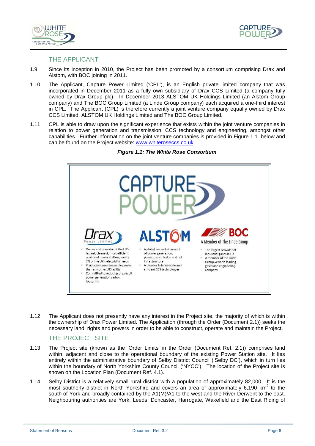



#### THE APPLICANT

- 1.9 Since its inception in 2010, the Project has been promoted by a consortium comprising Drax and Alstom, with BOC joining in 2011.
- 1.10 The Applicant, Capture Power Limited ('CPL'), is an English private limited company that was incorporated in December 2011 as a fully own subsidiary of Drax CCS Limited (a company fully owned by Drax Group plc). In December 2013 ALSTOM UK Holdings Limited (an Alstom Group company) and The BOC Group Limited (a Linde Group company) each acquired a one-third interest in CPL. The Applicant (CPL) is therefore currently a joint venture company equally owned by Drax CCS Limited, ALSTOM UK Holdings Limited and The BOC Group Limited.
- 1.11 CPL is able to draw upon the significant experience that exists within the joint venture companies in relation to power generation and transmission, CCS technology and engineering, amongst other capabilities. Further information on the joint venture companies is provided in Figure 1.1. below and can be found on the Project website: www.whiteroseccs.co.uk

#### **Figure 1.1: The White Rose Consortium**



1.12 The Applicant does not presently have any interest in the Project site, the majority of which is within the ownership of Drax Power Limited. The Application (through the Order (Document 2.1)) seeks the necessary land, rights and powers in order to be able to construct, operate and maintain the Project.

## THE PROJECT SITE

- 1.13 The Project site (known as the 'Order Limits' in the Order (Document Ref. 2.1)) comprises land within, adjacent and close to the operational boundary of the existing Power Station site. It lies entirely within the administrative boundary of Selby District Council ('Selby DC'), which in turn lies within the boundary of North Yorkshire County Council ('NYCC'). The location of the Project site is shown on the Location Plan (Document Ref. 4.1).
- 1.14 Selby District is a relatively small rural district with a population of approximately 82,000. It is the most southerly district in North Yorkshire and covers an area of approximately 6,190  $km^2$  to the south of York and broadly contained by the A1(M)/A1 to the west and the River Derwent to the east. Neighbouring authorities are York, Leeds, Doncaster, Harrogate, Wakefield and the East Riding of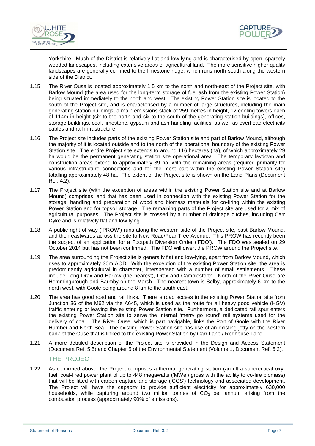



Yorkshire. Much of the District is relatively flat and low-lying and is characterised by open, sparsely wooded landscapes, including extensive areas of agricultural land. The more sensitive higher quality landscapes are generally confined to the limestone ridge, which runs north-south along the western side of the District.

- 1.15 The River Ouse is located approximately 1.5 km to the north and north-east of the Project site, with Barlow Mound (the area used for the long-term storage of fuel ash from the existing Power Station) being situated immediately to the north and west. The existing Power Station site is located to the south of the Project site, and is characterised by a number of large structures, including the main generating station buildings, a main emissions stack of 259 metres in height, 12 cooling towers each of 114m in height (six to the north and six to the south of the generating station buildings), offices, storage buildings, coal, limestone, gypsum and ash handling facilities, as well as overhead electricity cables and rail infrastructure.
- 1.16 The Project site includes parts of the existing Power Station site and part of Barlow Mound, although the majority of it is located outside and to the north of the operational boundary of the existing Power Station site. The entire Project site extends to around 116 hectares (ha), of which approximately 29 ha would be the permanent generating station site operational area. The temporary laydown and construction areas extend to approximately 39 ha, with the remaining areas (required primarily for various infrastructure connections and for the most part within the existing Power Station site) totalling approximately 48 ha. The extent of the Project site is shown on the Land Plans (Document Ref. 4.2).
- 1.17 The Project site (with the exception of areas within the existing Power Station site and at Barlow Mound) comprises land that has been used in connection with the existing Power Station for the storage, handling and preparation of wood and biomass materials for co-firing within the existing Power Station and for topsoil storage. The remaining parts of the Project site are used for a mix of agricultural purposes. The Project site is crossed by a number of drainage ditches, including Carr Dyke and is relatively flat and low-lying.
- 1.18 A public right of way ('PROW') runs along the western side of the Project site, past Barlow Mound, and then eastwards across the site to New Road/Pear Tree Avenue. This PROW has recently been the subject of an application for a Footpath Diversion Order ('FDO'). The FDO was sealed on 29 October 2014 but has not been confirmed. The FDO will divert the PROW around the Project site.
- 1.19 The area surrounding the Project site is generally flat and low-lying, apart from Barlow Mound, which rises to approximately 30m AOD. With the exception of the existing Power Station site, the area is predominantly agricultural in character, interspersed with a number of small settlements. These include Long Drax and Barlow (the nearest), Drax and Camblesforth. North of the River Ouse are Hemmingbrough and Barmby on the Marsh. The nearest town is Selby, approximately 6 km to the north west, with Goole being around 8 km to the south east.
- 1.20 The area has good road and rail links. There is road access to the existing Power Station site from Junction 36 of the M62 via the A645, which is used as the route for all heavy good vehicle (HGV) traffic entering or leaving the existing Power Station site. Furthermore, a dedicated rail spur enters the existing Power Station site to serve the internal 'merry go round' rail systems used for the delivery of coal. The River Ouse, which is part navigable, links the Port of Goole with the River Humber and North Sea. The existing Power Station site has use of an existing jetty on the western bank of the Ouse that is linked to the existing Power Station by Carr Lane / Redhouse Lane.
- 1.21 A more detailed description of the Project site is provided in the Design and Access Statement (Document Ref. 5.5) and Chapter 5 of the Environmental Statement (Volume 1, Document Ref. 6.2).

### THE PROJECT

1.22 As confirmed above, the Project comprises a thermal generating station (an ultra-supercritical oxyfuel, coal-fired power plant of up to 448 megawatts ('MWe') gross with the ability to co-fire biomass) that will be fitted with carbon capture and storage ('CCS') technology and associated development. The Project will have the capacity to provide sufficient electricity for approximately 630,000 households, while capturing around two million tonnes of  $CO<sub>2</sub>$  per annum arising from the combustion process (approximately 90% of emissions).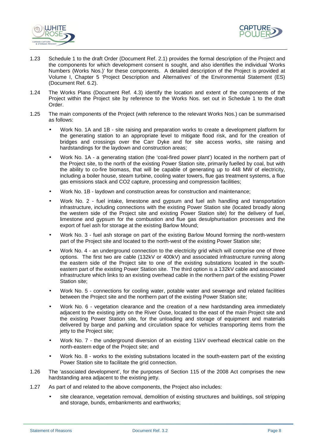



- 1.23 Schedule 1 to the draft Order (Document Ref. 2.1) provides the formal description of the Project and the components for which development consent is sought, and also identifies the individual 'Works Numbers (Works Nos.)' for these components. A detailed description of the Project is provided at Volume I, Chapter 5 'Project Description and Alternatives' of the Environmental Statement (ES) (Document Ref. 6.2).
- 1.24 The Works Plans (Document Ref. 4.3) identify the location and extent of the components of the Project within the Project site by reference to the Works Nos. set out in Schedule 1 to the draft Order.
- 1.25 The main components of the Project (with reference to the relevant Works Nos.) can be summarised as follows:
	- Work No. 1A and 1B site raising and preparation works to create a development platform for the generating station to an appropriate level to mitigate flood risk, and for the creation of bridges and crossings over the Carr Dyke and for site access works, site raising and hardstandings for the laydown and construction areas;
	- Work No. 1A a generating station (the 'coal-fired power plant') located in the northern part of the Project site, to the north of the existing Power Station site, primarily fuelled by coal, but with the ability to co-fire biomass, that will be capable of generating up to 448 MW of electricity, including a boiler house, steam turbine, cooling water towers, flue gas treatment systems, a flue gas emissions stack and CO2 capture, processing and compression facilities;
	- Work No. 1B laydown and construction areas for construction and maintenance;
	- Work No. 2 fuel intake, limestone and gypsum and fuel ash handling and transportation infrastructure, including connections with the existing Power Station site (located broadly along the western side of the Project site and existing Power Station site) for the delivery of fuel, limestone and gypsum for the combustion and flue gas desulphurisation processes and the export of fuel ash for storage at the existing Barlow Mound;
	- Work No. 3 fuel ash storage on part of the existing Barlow Mound forming the north-western part of the Project site and located to the north-west of the existing Power Station site;
	- Work No. 4 an underground connection to the electricity grid which will comprise one of three options. The first two are cable (132kV or 400kV) and associated infrastructure running along the eastern side of the Project site to one of the existing substations located in the southeastern part of the existing Power Station site. The third option is a 132kV cable and associated infrastructure which links to an existing overhead cable in the northern part of the existing Power Station site;
	- Work No. 5 connections for cooling water, potable water and sewerage and related facilities between the Project site and the northern part of the existing Power Station site;
	- Work No. 6 vegetation clearance and the creation of a new hardstanding area immediately adjacent to the existing jetty on the River Ouse, located to the east of the main Project site and the existing Power Station site, for the unloading and storage of equipment and materials delivered by barge and parking and circulation space for vehicles transporting items from the jetty to the Project site;
	- Work No. 7 the underground diversion of an existing 11kV overhead electrical cable on the north-eastern edge of the Project site; and
	- Work No. 8 works to the existing substations located in the south-eastern part of the existing Power Station site to facilitate the grid connection.
- 1.26 The 'associated development', for the purposes of Section 115 of the 2008 Act comprises the new hardstanding area adjacent to the existing jetty.
- 1.27 As part of and related to the above components, the Project also includes:
	- site clearance, vegetation removal, demolition of existing structures and buildings, soil stripping and storage, bunds, embankments and earthworks;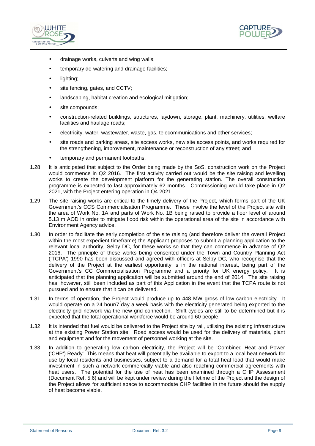



- drainage works, culverts and wing walls;
- temporary de-watering and drainage facilities;
- lighting;
- site fencing, gates, and CCTV:
- landscaping, habitat creation and ecological mitigation;
- site compounds;
- construction-related buildings, structures, laydown, storage, plant, machinery, utilities, welfare facilities and haulage roads;
- electricity, water, wastewater, waste, gas, telecommunications and other services;
- site roads and parking areas, site access works, new site access points, and works required for the strengthening, improvement, maintenance or reconstruction of any street; and
- temporary and permanent footpaths.
- 1.28 It is anticipated that subject to the Order being made by the SoS, construction work on the Project would commence in Q2 2016. The first activity carried out would be the site raising and levelling works to create the development platform for the generating station. The overall construction programme is expected to last approximately 62 months. Commissioning would take place in Q2 2021, with the Project entering operation in Q4 2021.
- 1.29 The site raising works are critical to the timely delivery of the Project, which forms part of the UK Government's CCS Commercialisation Programme. These involve the level of the Project site with the area of Work No. 1A and parts of Work No. 1B being raised to provide a floor level of around 5.13 m AOD in order to mitigate flood risk within the operational area of the site in accordance with Environment Agency advice.
- 1.30 In order to facilitate the early completion of the site raising (and therefore deliver the overall Project within the most expedient timeframe) the Applicant proposes to submit a planning application to the relevant local authority, Selby DC, for these works so that they can commence in advance of Q2 2016. The principle of these works being consented under the Town and Country Planning Act ('TCPA') 1990 has been discussed and agreed with officers at Selby DC, who recognise that the delivery of the Project at the earliest opportunity is in the national interest, being part of the Government's CC Commercialisation Programme and a priority for UK energy policy. It is anticipated that the planning application will be submitted around the end of 2014. The site raising has, however, still been included as part of this Application in the event that the TCPA route is not pursued and to ensure that it can be delivered.
- 1.31 In terms of operation, the Project would produce up to 448 MW gross of low carbon electricity. It would operate on a 24 hour/7 day a week basis with the electricity generated being exported to the electricity grid network via the new grid connection. Shift cycles are still to be determined but it is expected that the total operational workforce would be around 60 people.
- 1.32 It is intended that fuel would be delivered to the Project site by rail, utilising the existing infrastructure at the existing Power Station site. Road access would be used for the delivery of materials, plant and equipment and for the movement of personnel working at the site.
- 1.33 In addition to generating low carbon electricity, the Project will be 'Combined Heat and Power ('CHP') Ready'. This means that heat will potentially be available to export to a local heat network for use by local residents and businesses, subject to a demand for a total heat load that would make investment in such a network commercially viable and also reaching commercial agreements with heat users. The potential for the use of heat has been examined through a CHP Assessment (Document Ref. 5.6) and will be kept under review during the lifetime of the Project and the design of the Project allows for sufficient space to accommodate CHP facilities in the future should the supply of heat become viable.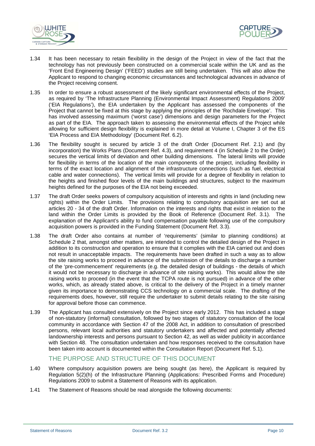



- 1.34 It has been necessary to retain flexibility in the design of the Project in view of the fact that the technology has not previously been constructed on a commercial scale within the UK and as the 'Front End Engineering Design' ('FEED') studies are still being undertaken. This will also allow the Applicant to respond to changing economic circumstances and technological advances in advance of the Project receiving consent.
- 1.35 In order to ensure a robust assessment of the likely significant environmental effects of the Project, as required by 'The Infrastructure Planning (Environmental Impact Assessment) Regulations 2009' ('EIA Regulations'), the EIA undertaken by the Applicant has assessed the components of the Project that cannot be fixed at this stage by applying the principles of the 'Rochdale Envelope'. This has involved assessing maximum ('worst case') dimensions and design parameters for the Project as part of the EIA. The approach taken to assessing the environmental effects of the Project while allowing for sufficient design flexibility is explained in more detail at Volume I, Chapter 3 of the ES 'EIA Process and EIA Methodology' (Document Ref. 6.2).
- 1.36 The flexibility sought is secured by article 3 of the draft Order (Document Ref. 2.1) and (by incorporation) the Works Plans (Document Ref. 4.3), and requirement 4 (in Schedule 2 to the Order) secures the vertical limits of deviation and other building dimensions. The lateral limits will provide for flexibility in terms of the location of the main components of the project, including flexibility in terms of the exact location and alignment of the infrastructure connections (such as fuel, electrical cable and water connections). The vertical limits will provide for a degree of flexibility in relation to the heights and finished floor levels of the main buildings and structures, subject to the maximum heights defined for the purposes of the EIA not being exceeded.
- 1.37 The draft Order seeks powers of compulsory acquisition of interests and rights in land (including new rights) within the Order Limits. The provisions relating to compulsory acquisition are set out at articles 20 - 34 of the draft Order. Information on the interests and rights that exist in relation to the land within the Order Limits is provided by the Book of Reference (Document Ref. 3.1). The explanation of the Applicant's ability to fund compensation payable following use of the compulsory acquisition powers is provided in the Funding Statement (Document Ref. 3.3).
- 1.38 The draft Order also contains at number of 'requirements' (similar to planning conditions) at Schedule 2 that, amongst other matters, are intended to control the detailed design of the Project in addition to its construction and operation to ensure that it complies with the EIA carried out and does not result in unacceptable impacts. The requirements have been drafted in such a way as to allow the site raising works to proceed in advance of the submission of the details to discharge a number of the 'pre-commencement' requirements (e.g. the detailed design of buildings - the details of which it would not be necessary to discharge in advance of site raising works). This would allow the site raising works to proceed (in the event that the TCPA route is not pursued) in advance of the other works, which, as already stated above, is critical to the delivery of the Project in a timely manner given its importance to demonstrating CCS technology on a commercial scale. The drafting of the requirements does, however, still require the undertaker to submit details relating to the site raising for approval before those can commence.
- 1.39 The Applicant has consulted extensively on the Project since early 2012. This has included a stage of non-statutory (informal) consultation, followed by two stages of statutory consultation of the local community in accordance with Section 47 of the 2008 Act, in addition to consultation of prescribed persons, relevant local authorities and statutory undertakers and affected and potentially affected landownership interests and persons pursuant to Section 42, as well as wider publicity in accordance with Section 48. The consultation undertaken and how responses received to the consultation have been taken into account is documented within the Consultation Report (Document Ref. 5.1).

# THE PURPOSE AND STRUCTURE OF THIS DOCUMENT

- 1.40 Where compulsory acquisition powers are being sought (as here), the Applicant is required by Regulation 5(2)(h) of the Infrastructure Planning (Applications: Prescribed Forms and Procedure) Regulations 2009 to submit a Statement of Reasons with its application.
- 1.41 The Statement of Reasons should be read alongside the following documents: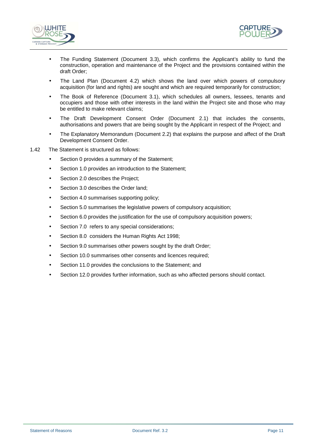



- The Funding Statement (Document 3.3), which confirms the Applicant's ability to fund the construction, operation and maintenance of the Project and the provisions contained within the draft Order;
- The Land Plan (Document 4.2) which shows the land over which powers of compulsory acquisition (for land and rights) are sought and which are required temporarily for construction;
- The Book of Reference (Document 3.1), which schedules all owners, lessees, tenants and occupiers and those with other interests in the land within the Project site and those who may be entitled to make relevant claims;
- The Draft Development Consent Order (Document 2.1) that includes the consents, authorisations and powers that are being sought by the Applicant in respect of the Project; and
- The Explanatory Memorandum (Document 2.2) that explains the purpose and affect of the Draft Development Consent Order.
- 1.42 The Statement is structured as follows:
	- Section 0 provides a summary of the Statement;
	- Section 1.0 provides an introduction to the Statement;
	- Section 2.0 describes the Project;
	- Section 3.0 describes the Order land;
	- Section 4.0 summarises supporting policy;
	- Section 5.0 summarises the legislative powers of compulsory acquisition;
	- Section 6.0 provides the justification for the use of compulsory acquisition powers;
	- Section 7.0 refers to any special considerations;
	- Section 8.0 considers the Human Rights Act 1998;
	- Section 9.0 summarises other powers sought by the draft Order;
	- Section 10.0 summarises other consents and licences required;
	- Section 11.0 provides the conclusions to the Statement; and
	- Section 12.0 provides further information, such as who affected persons should contact.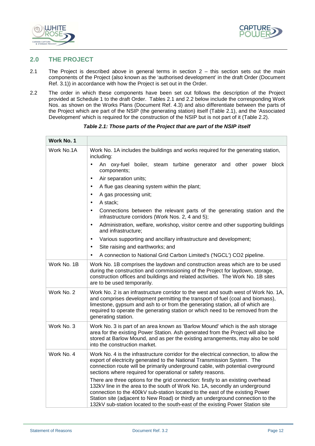



# **2.0 THE PROJECT**

- 2.1 The Project is described above in general terms in section 2 this section sets out the main components of the Project (also known as the 'authorised development' in the draft Order (Document Ref. 3.1)) in accordance with how the Project is set out in the Order.
- 2.2 The order in which these components have been set out follows the description of the Project provided at Schedule 1 to the draft Order. Tables 2.1 and 2.2 below include the corresponding Work Nos. as shown on the Works Plans (Document Ref. 4.3) and also differentiate between the parts of the Project which are part of the NSIP (the generating station) itself (Table 2.1), and the 'Associated Development' which is required for the construction of the NSIP but is not part of it (Table 2.2).

| Work No. 1  |                                                                                                                                                                                                                                                                                                                                                                                                                       |  |  |  |
|-------------|-----------------------------------------------------------------------------------------------------------------------------------------------------------------------------------------------------------------------------------------------------------------------------------------------------------------------------------------------------------------------------------------------------------------------|--|--|--|
| Work No.1A  | Work No. 1A includes the buildings and works required for the generating station,<br>including:                                                                                                                                                                                                                                                                                                                       |  |  |  |
|             | An oxy-fuel boiler, steam turbine generator and other power block<br>$\bullet$<br>components;                                                                                                                                                                                                                                                                                                                         |  |  |  |
|             | Air separation units;<br>$\bullet$                                                                                                                                                                                                                                                                                                                                                                                    |  |  |  |
|             | A flue gas cleaning system within the plant;<br>$\bullet$                                                                                                                                                                                                                                                                                                                                                             |  |  |  |
|             | A gas processing unit;<br>$\bullet$                                                                                                                                                                                                                                                                                                                                                                                   |  |  |  |
|             | A stack;<br>$\bullet$                                                                                                                                                                                                                                                                                                                                                                                                 |  |  |  |
|             | Connections between the relevant parts of the generating station and the<br>$\bullet$<br>infrastructure corridors (Work Nos. 2, 4 and 5);                                                                                                                                                                                                                                                                             |  |  |  |
|             | Administration, welfare, workshop, visitor centre and other supporting buildings<br>$\bullet$<br>and infrastructure;                                                                                                                                                                                                                                                                                                  |  |  |  |
|             | Various supporting and ancillary infrastructure and development;<br>$\bullet$                                                                                                                                                                                                                                                                                                                                         |  |  |  |
|             | Site raising and earthworks; and<br>$\bullet$                                                                                                                                                                                                                                                                                                                                                                         |  |  |  |
|             | A connection to National Grid Carbon Limited's ('NGCL') CO2 pipeline.<br>$\bullet$                                                                                                                                                                                                                                                                                                                                    |  |  |  |
| Work No. 1B | Work No. 1B comprises the laydown and construction areas which are to be used<br>during the construction and commissioning of the Project for laydown, storage,<br>construction offices and buildings and related activities. The Work No. 1B sites<br>are to be used temporarily.                                                                                                                                    |  |  |  |
| Work No. 2  | Work No. 2 is an infrastructure corridor to the west and south west of Work No. 1A,<br>and comprises development permitting the transport of fuel (coal and biomass),<br>limestone, gypsum and ash to or from the generating station, all of which are<br>required to operate the generating station or which need to be removed from the<br>generating station.                                                      |  |  |  |
| Work No. 3  | Work No. 3 is part of an area known as 'Barlow Mound' which is the ash storage<br>area for the existing Power Station. Ash generated from the Project will also be<br>stored at Barlow Mound, and as per the existing arrangements, may also be sold<br>into the construction market.                                                                                                                                 |  |  |  |
| Work No. 4  | Work No. 4 is the infrastructure corridor for the electrical connection, to allow the<br>export of electricity generated to the National Transmission System. The<br>connection route will be primarily underground cable, with potential overground<br>sections where required for operational or safety reasons.                                                                                                    |  |  |  |
|             | There are three options for the grid connection: firstly to an existing overhead<br>132kV line in the area to the south of Work No. 1A, secondly an underground<br>connection to the 400kV sub-station located to the east of the existing Power<br>Station site (adjacent to New Road) or thirdly an underground connection to the<br>132kV sub-station located to the south-east of the existing Power Station site |  |  |  |

**Table 2.1: Those parts of the Project that are part of the NSIP itself**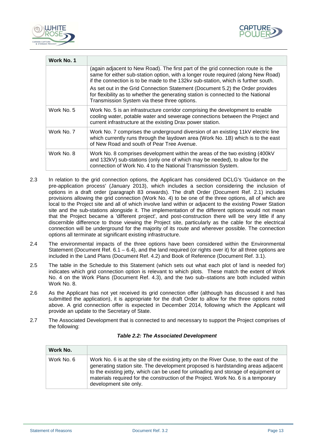



| Work No. 1 |                                                                                                                                                                                                                                                            |
|------------|------------------------------------------------------------------------------------------------------------------------------------------------------------------------------------------------------------------------------------------------------------|
|            | (again adjacent to New Road). The first part of the grid connection route is the<br>same for either sub-station option, with a longer route required (along New Road)<br>if the connection is to be made to the 132kv sub-station, which is further south. |
|            | As set out in the Grid Connection Statement (Document 5.2) the Order provides<br>for flexibility as to whether the generating station is connected to the National<br>Transmission System via these three options.                                         |
| Work No. 5 | Work No. 5 is an infrastructure corridor comprising the development to enable<br>cooling water, potable water and sewerage connections between the Project and<br>current infrastructure at the existing Drax power station.                               |
| Work No. 7 | Work No. 7 comprises the underground diversion of an existing 11kV electric line<br>which currently runs through the laydown area (Work No. 1B) which is to the east<br>of New Road and south of Pear Tree Avenue.                                         |
| Work No. 8 | Work No. 8 comprises development within the areas of the two existing (400kV)<br>and 132kV) sub-stations (only one of which may be needed), to allow for the<br>connection of Work No. 4 to the National Transmission System.                              |
|            |                                                                                                                                                                                                                                                            |

- 2.3 In relation to the grid connection options, the Applicant has considered DCLG's 'Guidance on the pre-application process' (January 2013), which includes a section considering the inclusion of options in a draft order (paragraph 83 onwards). The draft Order (Document Ref. 2.1) includes provisions allowing the grid connection (Work No. 4) to be one of the three options, all of which are local to the Project site and all of which involve land within or adjacent to the existing Power Station site and the sub-stations alongside it. The implementation of the different options would not mean that the Project became a 'different project', and post-construction there will be very little if any discernible difference to those viewing the Project site, particularly as the cable for the electrical connection will be underground for the majority of its route and wherever possible. The connection options all terminate at significant existing infrastructure.
- 2.4 The environmental impacts of the three options have been considered within the Environmental Statement (Document Ref.  $6.1 - 6.4$ ), and the land required (or rights over it) for all three options are included in the Land Plans (Document Ref. 4.2) and Book of Reference (Document Ref. 3.1).
- 2.5 The table in the Schedule to this Statement (which sets out what each plot of land is needed for) indicates which grid connection option is relevant to which plots. These match the extent of Work No. 4 on the Work Plans (Document Ref. 4.3), and the two sub–stations are both included within Work No. 8.
- 2.6 As the Applicant has not yet received its grid connection offer (although has discussed it and has submitted the application), it is appropriate for the draft Order to allow for the three options noted above. A grid connection offer is expected in December 2014, following which the Applicant will provide an update to the Secretary of State.
- 2.7 The Associated Development that is connected to and necessary to support the Project comprises of the following:

| Work No.   |                                                                                                                                                                                                                                                                                                                                                                                |
|------------|--------------------------------------------------------------------------------------------------------------------------------------------------------------------------------------------------------------------------------------------------------------------------------------------------------------------------------------------------------------------------------|
| Work No. 6 | Work No. 6 is at the site of the existing jetty on the River Ouse, to the east of the<br>generating station site. The development proposed is hardstanding areas adjacent<br>to the existing jetty, which can be used for unloading and storage of equipment or<br>materials required for the construction of the Project. Work No. 6 is a temporary<br>development site only. |

#### **Table 2.2: The Associated Development**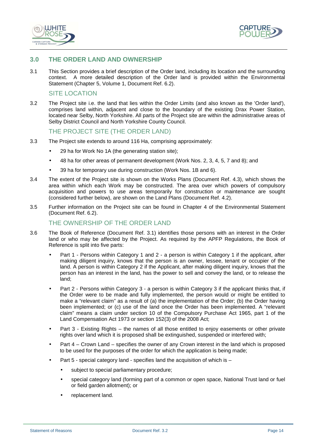



# **3.0 THE ORDER LAND AND OWNERSHIP**

3.1 This Section provides a brief description of the Order land, including its location and the surrounding context. A more detailed description of the Order land is provided within the Environmental Statement (Chapter 5, Volume 1, Document Ref. 6.2).

#### SITE LOCATION

3.2 The Project site i.e. the land that lies within the Order Limits (and also known as the 'Order land'), comprises land within, adjacent and close to the boundary of the existing Drax Power Station, located near Selby, North Yorkshire. All parts of the Project site are within the administrative areas of Selby District Council and North Yorkshire County Council.

#### THE PROJECT SITE (THE ORDER LAND)

- 3.3 The Project site extends to around 116 Ha, comprising approximately:
	- 29 ha for Work No 1A (the generating station site);
	- 48 ha for other areas of permanent development (Work Nos. 2, 3, 4, 5, 7 and 8); and
	- 39 ha for temporary use during construction (Work Nos. 1B and 6).
- 3.4 The extent of the Project site is shown on the Works Plans (Document Ref. 4.3), which shows the area within which each Work may be constructed. The area over which powers of compulsory acquisition and powers to use areas temporarily for construction or maintenance are sought (considered further below), are shown on the Land Plans (Document Ref. 4.2).
- 3.5 Further information on the Project site can be found in Chapter 4 of the Environmental Statement (Document Ref. 6.2).

#### THE OWNERSHIP OF THE ORDER LAND

- 3.6 The Book of Reference (Document Ref. 3.1) identifies those persons with an interest in the Order land or who may be affected by the Project. As required by the APFP Regulations, the Book of Reference is split into five parts:
	- Part 1 Persons within Category 1 and 2 a person is within Category 1 if the applicant, after making diligent inquiry, knows that the person is an owner, lessee, tenant or occupier of the land. A person is within Category 2 if the Applicant, after making diligent inquiry, knows that the person has an interest in the land, has the power to sell and convey the land, or to release the land;
	- Part 2 Persons within Category 3 a person is within Category 3 if the applicant thinks that, if the Order were to be made and fully implemented, the person would or might be entitled to make a "relevant claim" as a result of (a) the implementation of the Order; (b) the Order having been implemented; or (c) use of the land once the Order has been implemented. A "relevant claim" means a claim under section 10 of the Compulsory Purchase Act 1965, part 1 of the Land Compensation Act 1973 or section 152(3) of the 2008 Act;
	- Part 3 Existing Rights the names of all those entitled to enjoy easements or other private rights over land which it is proposed shall be extinguished, suspended or interfered with;
	- Part 4 Crown Land specifies the owner of any Crown interest in the land which is proposed to be used for the purposes of the order for which the application is being made;
	- Part 5 special category land specifies land the acquisition of which is
		- subject to special parliamentary procedure;
		- special category land (forming part of a common or open space, National Trust land or fuel or field garden allotment); or
		- replacement land.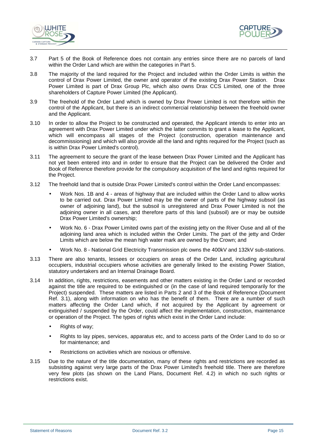



- 3.7 Part 5 of the Book of Reference does not contain any entries since there are no parcels of land within the Order Land which are within the categories in Part 5.
- 3.8 The majority of the land required for the Project and included within the Order Limits is within the control of Drax Power Limited, the owner and operator of the existing Drax Power Station. Drax Power Limited is part of Drax Group Plc, which also owns Drax CCS Limited, one of the three shareholders of Capture Power Limited (the Applicant).
- 3.9 The freehold of the Order Land which is owned by Drax Power Limited is not therefore within the control of the Applicant, but there is an indirect commercial relationship between the freehold owner and the Applicant.
- 3.10 In order to allow the Project to be constructed and operated, the Applicant intends to enter into an agreement with Drax Power Limited under which the latter commits to grant a lease to the Applicant, which will encompass all stages of the Project (construction, operation maintenance and decommissioning) and which will also provide all the land and rights required for the Project (such as is within Drax Power Limited's control).
- 3.11 The agreement to secure the grant of the lease between Drax Power Limited and the Applicant has not yet been entered into and in order to ensure that the Project can be delivered the Order and Book of Reference therefore provide for the compulsory acquisition of the land and rights required for the Project.
- 3.12 The freehold land that is outside Drax Power Limited's control within the Order Land encompasses:
	- Work Nos. 1B and 4 areas of highway that are included within the Order Land to allow works to be carried out. Drax Power Limited may be the owner of parts of the highway subsoil (as owner of adjoining land), but the subsoil is unregistered and Drax Power Limited is not the adjoining owner in all cases, and therefore parts of this land (subsoil) are or may be outside Drax Power Limited's ownership;
	- Work No. 6 Drax Power Limited owns part of the existing jetty on the River Ouse and all of the adjoining land area which is included within the Order Limits. The part of the jetty and Order Limits which are below the mean high water mark are owned by the Crown; and
	- Work No. 8 National Grid Electricity Transmission plc owns the 400kV and 132kV sub-stations.
- 3.13 There are also tenants, lessees or occupiers on areas of the Order Land, including agricultural occupiers, industrial occupiers whose activities are generally linked to the existing Power Station, statutory undertakers and an Internal Drainage Board.
- 3.14 In addition, rights, restrictions, easements and other matters existing in the Order Land or recorded against the title are required to be extinguished or (in the case of land required temporarily for the Project) suspended. These matters are listed in Parts 2 and 3 of the Book of Reference (Document Ref. 3.1), along with information on who has the benefit of them. There are a number of such matters affecting the Order Land which, if not acquired by the Applicant by agreement or extinguished / suspended by the Order, could affect the implementation, construction, maintenance or operation of the Project. The types of rights which exist in the Order Land include:
	- Rights of way;
	- Rights to lay pipes, services, apparatus etc, and to access parts of the Order Land to do so or for maintenance; and
	- Restrictions on activities which are noxious or offensive.
- 3.15 Due to the nature of the title documentation, many of these rights and restrictions are recorded as subsisting against very large parts of the Drax Power Limited's freehold title. There are therefore very few plots (as shown on the Land Plans, Document Ref. 4.2) in which no such rights or restrictions exist.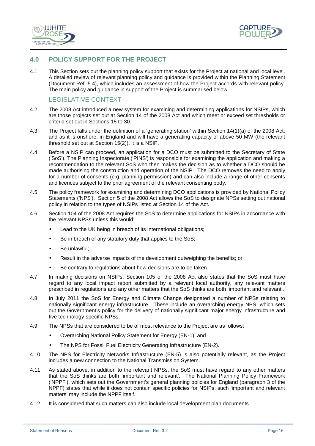



# **4.0 POLICY SUPPORT FOR THE PROJECT**

4.1 This Section sets out the planning policy support that exists for the Project at national and local level. A detailed review of relevant planning policy and guidance is provided within the Planning Statement (Document Ref. 5.4), which includes an assessment of how the Project accords with relevant policy. The main policy and guidance in support of the Project is summarised below.

# LEGISLATIVE CONTEXT

- 4.2 The 2008 Act introduced a new system for examining and determining applications for NSIPs, which are those projects set out at Section 14 of the 2008 Act and which meet or exceed set thresholds or criteria set out in Sections 15 to 30.
- 4.3 The Project falls under the definition of a 'generating station' within Section 14(1)(a) of the 2008 Act, and as it is onshore, in England and will have a generating capacity of above 50 MW (the relevant threshold set out at Section 15(2)), it is a NSIP.
- 4.4 Before a NSIP can proceed, an application for a DCO must be submitted to the Secretary of State ('SoS'). The Planning Inspectorate ('PINS') is responsible for examining the application and making a recommendation to the relevant SoS who then makes the decision as to whether a DCO should be made authorising the construction and operation of the NSIP. The DCO removes the need to apply for a number of consents (e.g. planning permission) and can also include a range of other consents and licences subject to the prior agreement of the relevant consenting body.
- 4.5 The policy framework for examining and determining DCO applications is provided by National Policy Statements ('NPS'). Section 5 of the 2008 Act allows the SoS to designate NPSs setting out national policy in relation to the types of NSIPs listed at Section 14 of the Act.
- 4.6 Section 104 of the 2008 Act requires the SoS to determine applications for NSIPs in accordance with the relevant NPSs unless this would:
	- Lead to the UK being in breach of its international obligations;
	- Be in breach of any statutory duty that applies to the SoS;
	- Be unlawful:
	- Result in the adverse impacts of the development outweighing the benefits; or
	- Be contrary to regulations about how decisions are to be taken.
- 4.7 In making decisions on NSIPs, Section 105 of the 2008 Act also states that the SoS must have regard to any local impact report submitted by a relevant local authority, any relevant matters prescribed in regulations and any other matters that the SoS thinks are both 'important and relevant'.
- 4.8 In July 2011 the SoS for Energy and Climate Change designated a number of NPSs relating to nationally significant energy infrastructure. These include an overarching energy NPS, which sets out the Government's policy for the delivery of nationally significant major energy infrastructure and five technology-specific NPSs.
- 4.9 The NPSs that are considered to be of most relevance to the Project are as follows:
	- Overarching National Policy Statement for Energy (EN-1); and
	- The NPS for Fossil Fuel Electricity Generating Infrastructure (EN-2).
- 4.10 The NPS for Electricity Networks Infrastructure (EN-5) is also potentially relevant, as the Project includes a new connection to the National Transmission System.
- 4.11 As stated above, in addition to the relevant NPSs, the SoS must have regard to any other matters that the SoS thinks are both 'important and relevant'. The National Planning Policy Framework ('NPPF'), which sets out the Government's general planning policies for England (paragraph 3 of the NPPF) states that while it does not contain specific policies for NSIPs, such 'important and relevant matters' may include the NPPF itself.
- 4.12 It is considered that such matters can also include local development plan documents.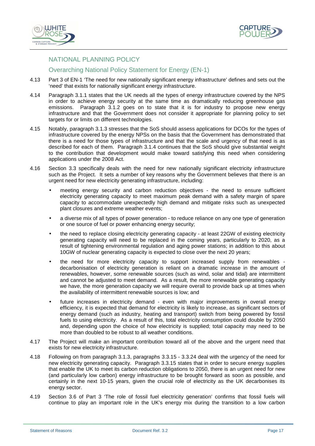



# NATIONAL PLANNING POLICY

## Overarching National Policy Statement for Energy (EN-1)

- 4.13 Part 3 of EN-1 'The need for new nationally significant energy infrastructure' defines and sets out the 'need' that exists for nationally significant energy infrastructure.
- 4.14 Paragraph 3.1.1 states that the UK needs all the types of energy infrastructure covered by the NPS in order to achieve energy security at the same time as dramatically reducing greenhouse gas emissions. Paragraph 3.1.2 goes on to state that it is for industry to propose new energy infrastructure and that the Government does not consider it appropriate for planning policy to set targets for or limits on different technologies.
- 4.15 Notably, paragraph 3.1.3 stresses that the SoS should assess applications for DCOs for the types of infrastructure covered by the energy NPSs on the basis that the Government has demonstrated that there is a need for those types of infrastructure and that the scale and urgency of that need is as described for each of them. Paragraph 3.1.4 continues that the SoS should give substantial weight to the contribution that development would make toward satisfying this need when considering applications under the 2008 Act.
- 4.16 Section 3.3 specifically deals with the need for new nationally significant electricity infrastructure such as the Project. It sets a number of key reasons why the Government believes that there is an urgent need for new electricity generating infrastructure, including:
	- meeting energy security and carbon reduction objectives the need to ensure sufficient electricity generating capacity to meet maximum peak demand with a safety margin of spare capacity to accommodate unexpectedly high demand and mitigate risks such as unexpected plant closures and extreme weather events;
	- a diverse mix of all types of power generation to reduce reliance on any one type of generation or one source of fuel or power enhancing energy security;
	- the need to replace closing electricity generating capacity at least 22GW of existing electricity generating capacity will need to be replaced in the coming years, particularly to 2020, as a result of tightening environmental regulation and aging power stations; in addition to this about 10GW of nuclear generating capacity is expected to close over the next 20 years;
	- the need for more electricity capacity to support increased supply from renewables decarbonisation of electricity generation is reliant on a dramatic increase in the amount of renewables, however, some renewable sources (such as wind, solar and tidal) are intermittent and cannot be adjusted to meet demand. As a result, the more renewable generating capacity we have, the more generation capacity we will require overall to provide back up at times when the availability of intermittent renewable sources is low; and
	- future increases in electricity demand even with major improvements in overall energy efficiency, it is expected that demand for electricity is likely to increase, as significant sectors of energy demand (such as industry, heating and transport) switch from being powered by fossil fuels to using electricity. As a result of this, total electricity consumption could double by 2050 and, depending upon the choice of how electricity is supplied; total capacity may need to be more than doubled to be robust to all weather conditions.
- 4.17 The Project will make an important contribution toward all of the above and the urgent need that exists for new electricity infrastructure.
- 4.18 Following on from paragraph 3.1.3, paragraphs 3.3.15 3.3.24 deal with the urgency of the need for new electricity generating capacity. Paragraph 3.3.15 states that in order to secure energy supplies that enable the UK to meet its carbon reduction obligations to 2050, there is an urgent need for new (and particularly low carbon) energy infrastructure to be brought forward as soon as possible, and certainly in the next 10-15 years, given the crucial role of electricity as the UK decarbonises its energy sector.
- 4.19 Section 3.6 of Part 3 'The role of fossil fuel electricity generation' confirms that fossil fuels will continue to play an important role in the UK's energy mix during the transition to a low carbon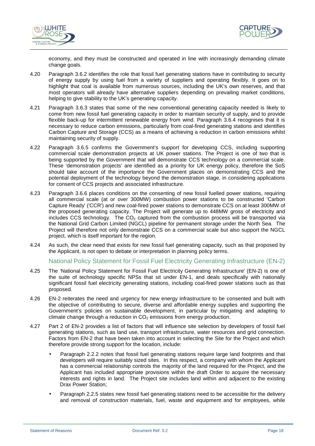



economy, and they must be constructed and operated in line with increasingly demanding climate change goals.

- 4.20 Paragraph 3.6.2 identifies the role that fossil fuel generating stations have in contributing to security of energy supply by using fuel from a variety of suppliers and operating flexibly. It goes on to highlight that coal is available from numerous sources, including the UK's own reserves, and that most operators will already have alternative suppliers depending on prevailing market conditions, helping to give stability to the UK's generating capacity.
- 4.21 Paragraph 3.6.3 states that some of the new conventional generating capacity needed is likely to come from new fossil fuel generating capacity in order to maintain security of supply, and to provide flexible back-up for intermittent renewable energy from wind. Paragraph 3.6.4 recognises that it is necessary to reduce carbon emissions, particularly from coal-fired generating stations and identifies Carbon Capture and Storage (CCS) as a means of achieving a reduction in carbon emissions whilst maintaining security of supply.
- 4.22 Paragraph 3.6.5 confirms the Government's support for developing CCS, including supporting commercial scale demonstration projects at UK power stations. The Project is one of two that is being supported by the Government that will demonstrate CCS technology on a commercial scale. These 'demonstration projects' are identified as a priority for UK energy policy, therefore the SoS should take account of the importance the Government places on demonstrating CCS and the potential deployment of the technology beyond the demonstration stage, in considering applications for consent of CCS projects and associated infrastructure.
- 4.23 Paragraph 3.6.6 places conditions on the consenting of new fossil fuelled power stations, requiring all commercial scale (at or over 300MW) combustion power stations to be constructed 'Carbon Capture Ready' ('CCR') and new coal-fired power stations to demonstrate CCS on at least 300MW of the proposed generating capacity. The Project will generate up to 448MW gross of electricity and includes CCS technology. The  $CO<sub>2</sub>$  captured from the combustion process will be transported via the National Grid Carbon Limited (NGCL) pipeline for permanent storage under the North Sea. The Project will therefore not only demonstrate CCS on a commercial scale but also support the NGCL project, which is itself important for the region.
- 4.24 As such, the clear need that exists for new fossil fuel generating capacity, such as that proposed by the Applicant, is not open to debate or interpretation in planning policy terms.

#### National Policy Statement for Fossil Fuel Electricity Generating Infrastructure (EN-2)

- 4.25 The 'National Policy Statement for Fossil Fuel Electricity Generating Infrastructure' (EN-2) is one of the suite of technology specific NPSs that sit under EN-1, and deals specifically with nationally significant fossil fuel electricity generating stations, including coal-fired power stations such as that proposed.
- 4.26 EN-2 reiterates the need and urgency for new energy infrastructure to be consented and built with the objective of contributing to secure, diverse and affordable energy supplies and supporting the Government's policies on sustainable development, in particular by mitigating and adapting to climate change through a reduction in  $CO<sub>2</sub>$  emissions from energy production.
- 4.27 Part 2 of EN-2 provides a list of factors that will influence site selection by developers of fossil fuel generating stations, such as land use, transport infrastructure, water resources and grid connection. Factors from EN-2 that have been taken into account in selecting the Site for the Project and which therefore provide strong support for the location, include:
	- Paragraph 2.2.2 notes that fossil fuel generating stations require large land footprints and that developers will require suitably sized sites. In this respect, a company with whom the Applicant has a commercial relationship controls the majority of the land required for the Project, and the Applicant has included appropriate provisions within the draft Order to acquire the necessary interests and rights in land. The Project site includes land within and adjacent to the existing Drax Power Station;
	- Paragraph 2.2.5 states new fossil fuel generating stations need to be accessible for the delivery and removal of construction materials, fuel, waste and equipment and for employees, while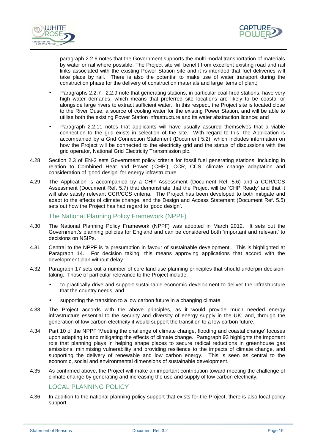



paragraph 2.2.6 notes that the Government supports the multi-modal transportation of materials by water or rail where possible. The Project site will benefit from excellent existing road and rail links associated with the existing Power Station site and it is intended that fuel deliveries will take place by rail. There is also the potential to make use of water transport during the construction phase for the delivery of construction materials and large items of plant;

- Paragraphs 2.2.7 2.2.9 note that generating stations, in particular coal-fired stations, have very high water demands, which means that preferred site locations are likely to be coastal or alongside large rivers to extract sufficient water. In this respect, the Project site is located close to the River Ouse, a source of cooling water for the existing Power Station, and will be able to utilise both the existing Power Station infrastructure and its water abstraction licence; and
- Paragraph 2.2.11 notes that applicants will have usually assured themselves that a viable connection to the grid exists in selection of the site. With regard to this, the Application is accompanied by a Grid Connection Statement (Document 5.2), which includes information on how the Project will be connected to the electricity grid and the status of discussions with the grid operator, National Grid Electricity Transmission plc.
- 4.28 Section 2.3 of EN-2 sets Government policy criteria for fossil fuel generating stations, including in relation to Combined Heat and Power ('CHP'), CCR, CCS, climate change adaptation and consideration of 'good design' for energy infrastructure.
- 4.29 The Application is accompanied by a CHP Assessment (Document Ref. 5.6) and a CCR/CCS Assessment (Document Ref. 5.7) that demonstrate that the Project will be 'CHP Ready' and that it will also satisfy relevant CCR/CCS criteria. The Project has been developed to both mitigate and adapt to the effects of climate change, and the Design and Access Statement (Document Ref. 5.5) sets out how the Project has had regard to 'good design'.

#### The National Planning Policy Framework (NPPF)

- 4.30 The National Planning Policy Framework (NPPF) was adopted in March 2012. It sets out the Government's planning policies for England and can be considered both 'important and relevant' to decisions on NSIPs.
- 4.31 Central to the NPPF is 'a presumption in favour of sustainable development'. This is highlighted at Paragraph 14. For decision taking, this means approving applications that accord with the development plan without delay.
- 4.32 Paragraph 17 sets out a number of core land-use planning principles that should underpin decisiontaking. Those of particular relevance to the Project include:
	- to practically drive and support sustainable economic development to deliver the infrastructure that the country needs; and
	- supporting the transition to a low carbon future in a changing climate.
- 4.33 The Project accords with the above principles, as it would provide much needed energy infrastructure essential to the security and diversity of energy supply in the UK; and, through the generation of low carbon electricity it would support the transition to a low carbon future.
- 4.34 Part 10 of the NPPF 'Meeting the challenge of climate change, flooding and coastal change' focuses upon adapting to and mitigating the effects of climate change. Paragraph 93 highlights the important role that planning plays in helping shape places to secure radical reductions in greenhouse gas emissions, minimising vulnerability and providing resilience to the impacts of climate change, and supporting the delivery of renewable and low carbon energy. This is seen as central to the economic, social and environmental dimensions of sustainable development.
- 4.35 As confirmed above, the Project will make an important contribution toward meeting the challenge of climate change by generating and increasing the use and supply of low carbon electricity.

## LOCAL PLANNING POLICY

4.36 In addition to the national planning policy support that exists for the Project, there is also local policy support.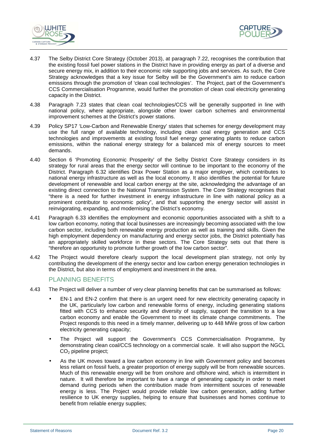



- 4.37 The Selby District Core Strategy (October 2013), at paragraph 7.22, recognises the contribution that the existing fossil fuel power stations in the District have in providing energy as part of a diverse and secure energy mix, in addition to their economic role supporting jobs and services. As such, the Core Strategy acknowledges that a key issue for Selby will be the Government's aim to reduce carbon emissions through the promotion of 'clean coal technologies'. The Project, part of the Government's CCS Commercialisation Programme, would further the promotion of clean coal electricity generating capacity in the District.
- 4.38 Paragraph 7.23 states that clean coal technologies/CCS will be generally supported in line with national policy, where appropriate, alongside other lower carbon schemes and environmental improvement schemes at the District's power stations.
- 4.39 Policy SP17 'Low-Carbon and Renewable Energy' states that schemes for energy development may use the full range of available technology, including clean coal energy generation and CCS technologies and improvements at existing fossil fuel energy generating plants to reduce carbon emissions, within the national energy strategy for a balanced mix of energy sources to meet demands.
- 4.40 Section 6 'Promoting Economic Prosperity' of the Selby District Core Strategy considers in its strategy for rural areas that the energy sector will continue to be important to the economy of the District. Paragraph 6.32 identifies Drax Power Station as a major employer, which contributes to national energy infrastructure as well as the local economy. It also identifies the potential for future development of renewable and local carbon energy at the site, acknowledging the advantage of an existing direct connection to the National Transmission System. The Core Strategy recognises that "there is a need for further investment in energy infrastructure in line with national policy as a prominent contributor to economic policy", and that supporting the energy sector will assist in reinvigorating, expanding, and modernising the District's economy.
- 4.41 Paragraph 6.33 identifies the employment and economic opportunities associated with a shift to a low carbon economy, noting that local businesses are increasingly becoming associated with the low carbon sector, including both renewable energy production as well as training and skills. Given the high employment dependency on manufacturing and energy sector jobs, the District potentially has an appropriately skilled workforce in these sectors. The Core Strategy sets out that there is "therefore an opportunity to promote further growth of the low carbon sector".
- 4.42 The Project would therefore clearly support the local development plan strategy, not only by contributing the development of the energy sector and low carbon energy generation technologies in the District, but also in terms of employment and investment in the area.

#### PLANNING BENEFITS

- 4.43 The Project will deliver a number of very clear planning benefits that can be summarised as follows:
	- EN-1 and EN-2 confirm that there is an urgent need for new electricity generating capacity in the UK, particularly low carbon and renewable forms of energy, including generating stations fitted with CCS to enhance security and diversity of supply, support the transition to a low carbon economy and enable the Government to meet its climate change commitments. The Project responds to this need in a timely manner, delivering up to 448 MWe gross of low carbon electricity generating capacity;
	- The Project will support the Government's CCS Commercialisation Programme, by demonstrating clean coal/CCS technology on a commercial scale. It will also support the NGCL CO<sub>2</sub> pipeline project;
	- As the UK moves toward a low carbon economy in line with Government policy and becomes less reliant on fossil fuels, a greater proportion of energy supply will be from renewable sources. Much of this renewable energy will be from onshore and offshore wind, which is intermittent in nature. It will therefore be important to have a range of generating capacity in order to meet demand during periods when the contribution made from intermittent sources of renewable energy is less. The Project would provide reliable low carbon generation, adding further resilience to UK energy supplies, helping to ensure that businesses and homes continue to benefit from reliable energy supplies;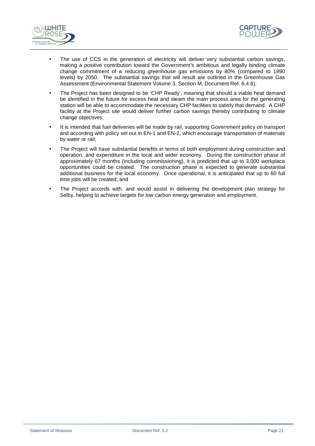



- The use of CCS in the generation of electricity will deliver very substantial carbon savings, making a positive contribution toward the Government's ambitious and legally binding climate change commitment of a reducing greenhouse gas emissions by 80% (compared to 1990 levels) by 2050. The substantial savings that will result are outlined in the Greenhouse Gas Assessment (Environmental Statement Volume 3, Section M, Document Ref. 6.4.6);
- The Project has been designed to be 'CHP Ready', meaning that should a viable heat demand be identified in the future for excess heat and steam the main process area for the generating station will be able to accommodate the necessary CHP facilities to satisfy that demand. A CHP facility at the Project site would deliver further carbon savings thereby contributing to climate change objectives;
- It is intended that fuel deliveries will be made by rail, supporting Government policy on transport and according with policy set out in EN-1 and EN-2, which encourage transportation of materials by water or rail;
- The Project will have substantial benefits in terms of both employment during construction and operation, and expenditure in the local and wider economy. During the construction phase of approximately 67 months (including commissioning), it is predicted that up to 3,000 workplace opportunities could be created. The construction phase is expected to generate substantial additional business for the local economy. Once operational, it is anticipated that up to 60 full time jobs will be created; and
- The Project accords with, and would assist in delivering the development plan strategy for Selby, helping to achieve targets for low carbon energy generation and employment.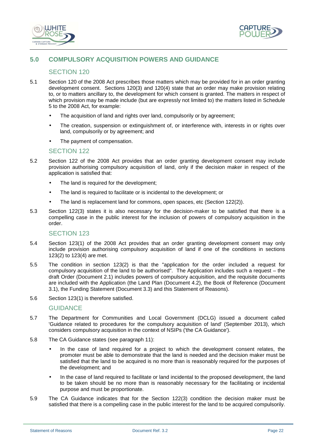



# **5.0 COMPULSORY ACQUISITION POWERS AND GUIDANCE**

## SECTION 120

- 5.1 Section 120 of the 2008 Act prescribes those matters which may be provided for in an order granting development consent. Sections 120(3) and 120(4) state that an order may make provision relating to, or to matters ancillary to, the development for which consent is granted. The matters in respect of which provision may be made include (but are expressly not limited to) the matters listed in Schedule 5 to the 2008 Act, for example:
	- The acquisition of land and rights over land, compulsorily or by agreement;
	- The creation, suspension or extinguishment of, or interference with, interests in or rights over land, compulsorily or by agreement; and
	- The payment of compensation.

#### SECTION 122

- 5.2 Section 122 of the 2008 Act provides that an order granting development consent may include provision authorising compulsory acquisition of land, only if the decision maker in respect of the application is satisfied that:
	- The land is required for the development;
	- The land is required to facilitate or is incidental to the development; or
	- The land is replacement land for commons, open spaces, etc (Section 122(2)).
- 5.3 Section 122(3) states it is also necessary for the decision-maker to be satisfied that there is a compelling case in the public interest for the inclusion of powers of compulsory acquisition in the order.

#### SECTION 123

- 5.4 Section 123(1) of the 2008 Act provides that an order granting development consent may only include provision authorising compulsory acquisition of land if one of the conditions in sections 123(2) to 123(4) are met.
- 5.5 The condition in section 123(2) is that the "application for the order included a request for compulsory acquisition of the land to be authorised". The Application includes such a request – the draft Order (Document 2.1) includes powers of compulsory acquisition, and the requisite documents are included with the Application (the Land Plan (Document 4.2), the Book of Reference (Document 3.1), the Funding Statement (Document 3.3) and this Statement of Reasons).
- 5.6 Section 123(1) is therefore satisfied.

#### **GUIDANCE**

- 5.7 The Department for Communities and Local Government (DCLG) issued a document called 'Guidance related to procedures for the compulsory acquisition of land' (September 2013), which considers compulsory acquisition in the context of NSIPs ('the CA Guidance').
- 5.8 The CA Guidance states (see paragraph 11):
	- In the case of land required for a project to which the development consent relates, the promoter must be able to demonstrate that the land is needed and the decision maker must be satisfied that the land to be acquired is no more than is reasonably required for the purposes of the development; and
	- In the case of land required to facilitate or land incidental to the proposed development, the land to be taken should be no more than is reasonably necessary for the facilitating or incidental purpose and must be proportionate.
- 5.9 The CA Guidance indicates that for the Section 122(3) condition the decision maker must be satisfied that there is a compelling case in the public interest for the land to be acquired compulsorily.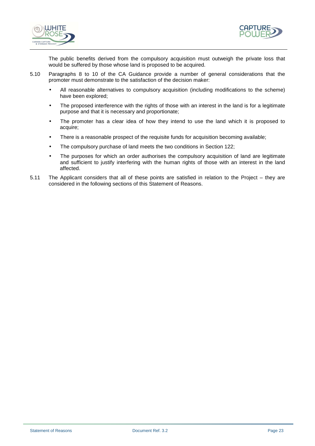



The public benefits derived from the compulsory acquisition must outweigh the private loss that would be suffered by those whose land is proposed to be acquired.

- 5.10 Paragraphs 8 to 10 of the CA Guidance provide a number of general considerations that the promoter must demonstrate to the satisfaction of the decision maker:
	- All reasonable alternatives to compulsory acquisition (including modifications to the scheme) have been explored;
	- The proposed interference with the rights of those with an interest in the land is for a legitimate purpose and that it is necessary and proportionate;
	- The promoter has a clear idea of how they intend to use the land which it is proposed to acquire;
	- There is a reasonable prospect of the requisite funds for acquisition becoming available;
	- The compulsory purchase of land meets the two conditions in Section 122;
	- The purposes for which an order authorises the compulsory acquisition of land are legitimate and sufficient to justify interfering with the human rights of those with an interest in the land affected.
- 5.11 The Applicant considers that all of these points are satisfied in relation to the Project they are considered in the following sections of this Statement of Reasons.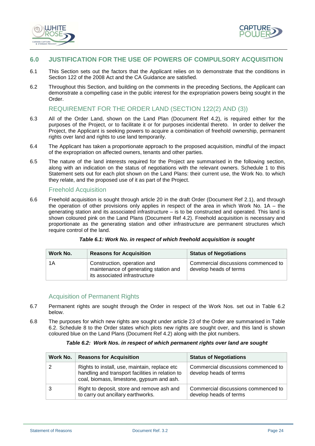



# **6.0 JUSTIFICATION FOR THE USE OF POWERS OF COMPULSORY ACQUISITION**

- 6.1 This Section sets out the factors that the Applicant relies on to demonstrate that the conditions in Section 122 of the 2008 Act and the CA Guidance are satisfied.
- 6.2 Throughout this Section, and building on the comments in the preceding Sections, the Applicant can demonstrate a compelling case in the public interest for the expropriation powers being sought in the Order.

# REQUIREMENT FOR THE ORDER LAND (SECTION 122(2) AND (3))

- 6.3 All of the Order Land, shown on the Land Plan (Document Ref 4.2), is required either for the purposes of the Project, or to facilitate it or for purposes incidental thereto. In order to deliver the Project, the Applicant is seeking powers to acquire a combination of freehold ownership, permanent rights over land and rights to use land temporarily.
- 6.4 The Applicant has taken a proportionate approach to the proposed acquisition, mindful of the impact of the expropriation on affected owners, tenants and other parties.
- 6.5 The nature of the land interests required for the Project are summarised in the following section, along with an indication on the status of negotiations with the relevant owners. Schedule 1 to this Statement sets out for each plot shown on the Land Plans: their current use, the Work No. to which they relate, and the proposed use of it as part of the Project.

#### Freehold Acquisition

6.6 Freehold acquisition is sought through article 20 in the draft Order (Document Ref 2.1), and through the operation of other provisions only applies in respect of the area in which Work No. 1A – the generating station and its associated infrastructure – is to be constructed and operated. This land is shown coloured pink on the Land Plans (Document Ref 4.2). Freehold acquisition is necessary and proportionate as the generating station and other infrastructure are permanent structures which require control of the land.

|  | Table 6.1: Work No. in respect of which freehold acquisition is sought |  |
|--|------------------------------------------------------------------------|--|
|--|------------------------------------------------------------------------|--|

| Work No. | <b>Reasons for Acquisition</b>                                                                        | <b>Status of Negotiations</b>                                 |
|----------|-------------------------------------------------------------------------------------------------------|---------------------------------------------------------------|
| 1Α       | Construction, operation and<br>maintenance of generating station and<br>its associated infrastructure | Commercial discussions commenced to<br>develop heads of terms |

#### Acquisition of Permanent Rights

- 6.7 Permanent rights are sought through the Order in respect of the Work Nos. set out in Table 6.2 below.
- 6.8 The purposes for which new rights are sought under article 23 of the Order are summarised in Table 6.2. Schedule 8 to the Order states which plots new rights are sought over, and this land is shown coloured blue on the Land Plans (Document Ref 4.2) along with the plot numbers.

#### **Table 6.2: Work Nos. in respect of which permanent rights over land are sought**

| Work No. | <b>Reasons for Acquisition</b>                                                                                                                 | <b>Status of Negotiations</b>                                 |
|----------|------------------------------------------------------------------------------------------------------------------------------------------------|---------------------------------------------------------------|
|          | Rights to install, use, maintain, replace etc<br>handling and transport facilities in relation to<br>coal, biomass, limestone, gypsum and ash. | Commercial discussions commenced to<br>develop heads of terms |
|          | Right to deposit, store and remove ash and<br>to carry out ancillary earthworks.                                                               | Commercial discussions commenced to<br>develop heads of terms |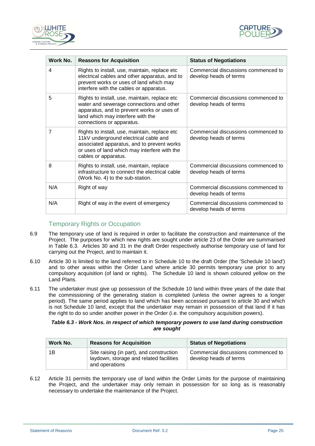



| Work No. | <b>Reasons for Acquisition</b>                                                                                                                                                                               | <b>Status of Negotiations</b>                                 |
|----------|--------------------------------------------------------------------------------------------------------------------------------------------------------------------------------------------------------------|---------------------------------------------------------------|
| 4        | Rights to install, use, maintain, replace etc<br>electrical cables and other apparatus, and to<br>prevent works or uses of land which may<br>interfere with the cables or apparatus.                         | Commercial discussions commenced to<br>develop heads of terms |
| 5        | Rights to install, use, maintain, replace etc<br>water and sewerage connections and other<br>apparatus, and to prevent works or uses of<br>land which may interfere with the<br>connections or apparatus.    | Commercial discussions commenced to<br>develop heads of terms |
| 7        | Rights to install, use, maintain, replace etc<br>11kV underground electrical cable and<br>associated apparatus, and to prevent works<br>or uses of land which may interfere with the<br>cables or apparatus. | Commercial discussions commenced to<br>develop heads of terms |
| 8        | Rights to install, use, maintain, replace<br>infrastructure to connect the electrical cable<br>(Work No. 4) to the sub-station.                                                                              | Commercial discussions commenced to<br>develop heads of terms |
| N/A      | Right of way                                                                                                                                                                                                 | Commercial discussions commenced to<br>develop heads of terms |
| N/A      | Right of way in the event of emergency                                                                                                                                                                       | Commercial discussions commenced to<br>develop heads of terms |

## Temporary Rights or Occupation

- 6.9 The temporary use of land is required in order to facilitate the construction and maintenance of the Project. The purposes for which new rights are sought under article 23 of the Order are summarised in Table 6.3. Articles 30 and 31 in the draft Order respectively authorise temporary use of land for carrying out the Project, and to maintain it.
- 6.10 Article 30 is limited to the land referred to in Schedule 10 to the draft Order (the 'Schedule 10 land') and to other areas within the Order Land where article 30 permits temporary use prior to any compulsory acquisition (of land or rights). The Schedule 10 land is shown coloured yellow on the Land Plans.
- 6.11 The undertaker must give up possession of the Schedule 10 land within three years of the date that the commissioning of the generating station is completed (unless the owner agrees to a longer period). The same period applies to land which has been accessed pursuant to article 30 and which is not Schedule 10 land, except that the undertaker may remain in possession of that land if it has the right to do so under another power in the Order (i.e. the compulsory acquisition powers).

#### **Table 6.3 - Work Nos. in respect of which temporary powers to use land during construction are sought**

| Work No. | <b>Reasons for Acquisition</b>                                                                        | <b>Status of Negotiations</b>                                 |
|----------|-------------------------------------------------------------------------------------------------------|---------------------------------------------------------------|
| 1Β       | Site raising (in part), and construction<br>laydown, storage and related facilities<br>and operations | Commercial discussions commenced to<br>develop heads of terms |

6.12 Article 31 permits the temporary use of land within the Order Limits for the purpose of maintaining the Project, and the undertaker may only remain in possession for so long as is reasonably necessary to undertake the maintenance of the Project.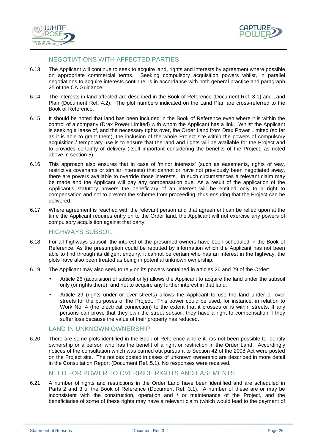



# NEGOTIATIONS WITH AFFECTED PARTIES

- 6.13 The Applicant will continue to seek to acquire land, rights and interests by agreement where possible on appropriate commercial terms. Seeking compulsory acquisition powers whilst, in parallel negotiations to acquire interests continue, is in accordance with both general practice and paragraph 25 of the CA Guidance.
- 6.14 The interests in land affected are described in the Book of Reference (Document Ref. 3.1) and Land Plan (Document Ref. 4.2). The plot numbers indicated on the Land Plan are cross-referred to the Book of Reference.
- 6.15 It should be noted that land has been included in the Book of Reference even where it is within the control of a company (Drax Power Limited) with whom the Applicant has a link. Whilst the Applicant is seeking a lease of, and the necessary rights over, the Order Land from Drax Power Limited (so far as it is able to grant them), the inclusion of the whole Project site within the powers of compulsory acquisition / temporary use is to ensure that the land and rights will be available for the Project and to provides certainty of delivery (itself important considering the benefits of the Project, as noted above in section 5).
- 6.16 This approach also ensures that in case of 'minor interests' (such as easements, rights of way, restrictive covenants or similar interests) that cannot or have not previously been negotiated away, there are powers available to override those interests. In such circumstances a relevant claim may be made and the Applicant will pay any compensation due. As a result of the application of the Applicant's statutory powers the beneficiary of an interest will be entitled only to a right to compensation and not to prevent the scheme from proceeding, thus ensuring that the Project can be delivered.
- 6.17 Where agreement is reached with the relevant person and that agreement can be relied upon at the time the Applicant requires entry on to the Order land, the Applicant will not exercise any powers of compulsory acquisition against that party.

# HIGHWAYS SUBSOIL

- 6.18 For all highways subsoil, the interest of the presumed owners have been scheduled in the Book of Reference. As the presumption could be rebutted by information which the Applicant has not been able to find through its diligent enquiry, it cannot be certain who has an interest in the highway, the plots have also been treated as being in potential unknown ownership.
- 6.19 The Applicant may also seek to rely on its powers contained in articles 26 and 29 of the Order:
	- Article 26 (acquisition of subsoil only) allows the Applicant to acquire the land under the subsoil only (or rights there), and not to acquire any further interest in that land;
	- Article 29 (rights under or over streets) allows the Applicant to use the land under or over streets for the purposes of the Project. This power could be used, for instance, in relation to Work No. 4 (the electrical connection) to the extent that it crosses or is within streets. If any persons can prove that they own the street subsoil, they have a right to compensation if they suffer loss because the value of their property has reduced.

#### LAND IN UNKNOWN OWNERSHIP

6.20 There are some plots identified in the Book of Reference where it has not been possible to identify ownership or a person who has the benefit of a right or restriction in the Order Land. Accordingly notices of the consultation which was carried out pursuant to Section 42 of the 2008 Act were posted on the Project site. The notices posted in cases of unknown ownership are described in more detail in the Consultation Report (Document Ref. 5.1). No responses were received.

## NEED FOR POWER TO OVERRIDE RIGHTS AND EASEMENTS

6.21 A number of rights and restrictions in the Order Land have been identified and are scheduled in Parts 2 and 3 of the Book of Reference (Document Ref. 3.1). A number of these are or may be inconsistent with the construction, operation and / or maintenance of the Project, and the beneficiaries of some of these rights may have a relevant claim (which would lead to the payment of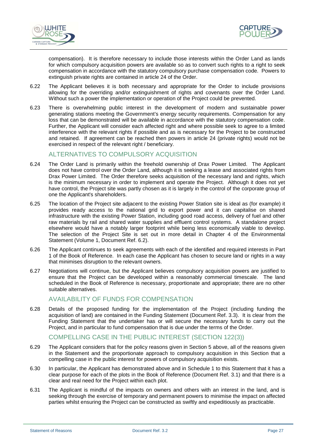



compensation). It is therefore necessary to include those interests within the Order Land as lands for which compulsory acquisition powers are available so as to convert such rights to a right to seek compensation in accordance with the statutory compulsory purchase compensation code. Powers to extinguish private rights are contained in article 24 of the Order.

- 6.22 The Applicant believes it is both necessary and appropriate for the Order to include provisions allowing for the overriding and/or extinguishment of rights and covenants over the Order Land. Without such a power the implementation or operation of the Project could be prevented.
- 6.23 There is overwhelming public interest in the development of modern and sustainable power generating stations meeting the Government's energy security requirements. Compensation for any loss that can be demonstrated will be available in accordance with the statutory compensation code. Further, the Applicant will consider each affected right and where possible seek to agree to a limited interference with the relevant rights if possible and as is necessary for the Project to be constructed and retained. If agreement can be reached then powers in article 24 (private rights) would not be exercised in respect of the relevant right / beneficiary.

# ALTERNATIVES TO COMPULSORY ACQUISITION

- 6.24 The Order Land is primarily within the freehold ownership of Drax Power Limited. The Applicant does not have control over the Order Land, although it is seeking a lease and associated rights from Drax Power Limited. The Order therefore seeks acquisition of the necessary land and rights, which is the minimum necessary in order to implement and operate the Project. Although it does not yet have control, the Project site was partly chosen as it is largely in the control of the corporate group of one the Applicant's shareholders.
- 6.25 The location of the Project site adjacent to the existing Power Station site is ideal as (for example) it provides ready access to the national grid to export power and it can capitalise on shared infrastructure with the existing Power Station, including good road access, delivery of fuel and other raw materials by rail and shared water supplies and effluent control systems. A standalone project elsewhere would have a notably larger footprint while being less economically viable to develop. The selection of the Project Site is set out in more detail in Chapter 4 of the Environmental Statement (Volume 1, Document Ref. 6.2).
- 6.26 The Applicant continues to seek agreements with each of the identified and required interests in Part 1 of the Book of Reference. In each case the Applicant has chosen to secure land or rights in a way that minimises disruption to the relevant owners.
- 6.27 Negotiations will continue, but the Applicant believes compulsory acquisition powers are justified to ensure that the Project can be developed within a reasonably commercial timescale. The land scheduled in the Book of Reference is necessary, proportionate and appropriate; there are no other suitable alternatives.

# AVAILABILITY OF FUNDS FOR COMPENSATION

6.28 Details of the proposed funding for the implementation of the Project (including funding the acquisition of land) are contained in the Funding Statement (Document Ref. 3.3). It is clear from the Funding Statement that the undertaker has or will secure the necessary funds to carry out the Project, and in particular to fund compensation that is due under the terms of the Order.

## COMPELLING CASE IN THE PUBLIC INTEREST (SECTION 122(3))

- 6.29 The Applicant considers that for the policy reasons given in Section 5 above, all of the reasons given in the Statement and the proportionate approach to compulsory acquisition in this Section that a compelling case in the public interest for powers of compulsory acquisition exists.
- 6.30 In particular, the Applicant has demonstrated above and in Schedule 1 to this Statement that it has a clear purpose for each of the plots in the Book of Reference (Document Ref. 3.1) and that there is a clear and real need for the Project within each plot.
- 6.31 The Applicant is mindful of the impacts on owners and others with an interest in the land, and is seeking through the exercise of temporary and permanent powers to minimise the impact on affected parties whilst ensuring the Project can be constructed as swiftly and expeditiously as practicable.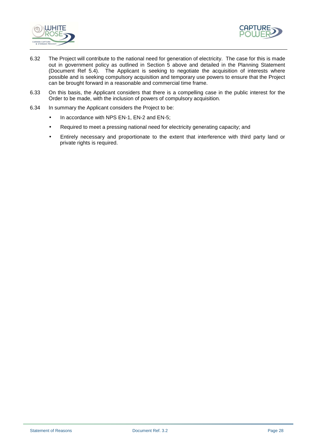



- 6.32 The Project will contribute to the national need for generation of electricity. The case for this is made out in government policy as outlined in Section 5 above and detailed in the Planning Statement (Document Ref 5.4). The Applicant is seeking to negotiate the acquisition of interests where possible and is seeking compulsory acquisition and temporary use powers to ensure that the Project can be brought forward in a reasonable and commercial time frame.
- 6.33 On this basis, the Applicant considers that there is a compelling case in the public interest for the Order to be made, with the inclusion of powers of compulsory acquisition.
- 6.34 In summary the Applicant considers the Project to be:
	- In accordance with NPS EN-1, EN-2 and EN-5;
	- Required to meet a pressing national need for electricity generating capacity; and
	- Entirely necessary and proportionate to the extent that interference with third party land or private rights is required.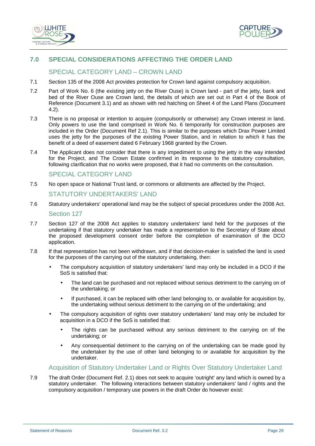



# **7.0 SPECIAL CONSIDERATIONS AFFECTING THE ORDER LAND**

# SPECIAL CATEGORY LAND – CROWN LAND

- 7.1 Section 135 of the 2008 Act provides protection for Crown land against compulsory acquisition.
- 7.2 Part of Work No. 6 (the existing jetty on the River Ouse) is Crown land part of the jetty, bank and bed of the River Ouse are Crown land, the details of which are set out in Part 4 of the Book of Reference (Document 3.1) and as shown with red hatching on Sheet 4 of the Land Plans (Document 4.2).
- 7.3 There is no proposal or intention to acquire (compulsorily or otherwise) any Crown interest in land. Only powers to use the land comprised in Work No. 6 temporarily for construction purposes are included in the Order (Document Ref 2.1). This is similar to the purposes which Drax Power Limited uses the jetty for the purposes of the existing Power Station, and in relation to which it has the benefit of a deed of easement dated 6 February 1968 granted by the Crown.
- 7.4 The Applicant does not consider that there is any impediment to using the jetty in the way intended for the Project, and The Crown Estate confirmed in its response to the statutory consultation, following clarification that no works were proposed, that it had no comments on the consultation.

#### SPECIAL CATEGORY LAND

- 7.5 No open space or National Trust land, or commons or allotments are affected by the Project. STATUTORY UNDERTAKERS' LAND
- 7.6 Statutory undertakers' operational land may be the subject of special procedures under the 2008 Act. Section 127
- 7.7 Section 127 of the 2008 Act applies to statutory undertakers' land held for the purposes of the undertaking if that statutory undertaker has made a representation to the Secretary of State about the proposed development consent order before the completion of examination of the DCO application.
- 7.8 If that representation has not been withdrawn, and if that decision-maker is satisfied the land is used for the purposes of the carrying out of the statutory undertaking, then:
	- The compulsory acquisition of statutory undertakers' land may only be included in a DCO if the SoS is satisfied that:
		- The land can be purchased and not replaced without serious detriment to the carrying on of the undertaking; or
		- If purchased, it can be replaced with other land belonging to, or available for acquisition by, the undertaking without serious detriment to the carrying on of the undertaking; and
	- The compulsory acquisition of rights over statutory undertakers' land may only be included for acquisition in a DCO if the SoS is satisfied that:
		- The rights can be purchased without any serious detriment to the carrying on of the undertaking; or
		- Any consequential detriment to the carrying on of the undertaking can be made good by the undertaker by the use of other land belonging to or available for acquisition by the undertaker.

#### Acquisition of Statutory Undertaker Land or Rights Over Statutory Undertaker Land

7.9 The draft Order (Document Ref. 2.1) does not seek to acquire 'outright' any land which is owned by a statutory undertaker. The following interactions between statutory undertakers' land / rights and the compulsory acquisition / temporary use powers in the draft Order do however exist: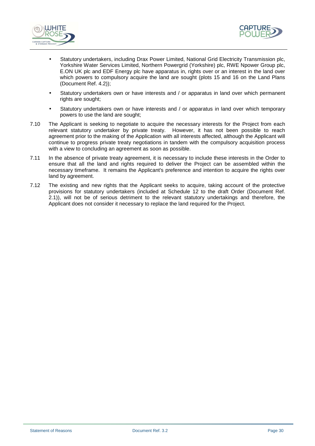



- Statutory undertakers, including Drax Power Limited, National Grid Electricity Transmission plc, Yorkshire Water Services Limited, Northern Powergrid (Yorkshire) plc, RWE Npower Group plc, E.ON UK plc and EDF Energy plc have apparatus in, rights over or an interest in the land over which powers to compulsory acquire the land are sought (plots 15 and 16 on the Land Plans (Document Ref. 4.2));
- Statutory undertakers own or have interests and / or apparatus in land over which permanent rights are sought:
- Statutory undertakers own or have interests and / or apparatus in land over which temporary powers to use the land are sought;
- 7.10 The Applicant is seeking to negotiate to acquire the necessary interests for the Project from each relevant statutory undertaker by private treaty. However, it has not been possible to reach agreement prior to the making of the Application with all interests affected, although the Applicant will continue to progress private treaty negotiations in tandem with the compulsory acquisition process with a view to concluding an agreement as soon as possible.
- 7.11 In the absence of private treaty agreement, it is necessary to include these interests in the Order to ensure that all the land and rights required to deliver the Project can be assembled within the necessary timeframe. It remains the Applicant's preference and intention to acquire the rights over land by agreement.
- 7.12 The existing and new rights that the Applicant seeks to acquire, taking account of the protective provisions for statutory undertakers (included at Schedule 12 to the draft Order (Document Ref. 2.1)), will not be of serious detriment to the relevant statutory undertakings and therefore, the Applicant does not consider it necessary to replace the land required for the Project.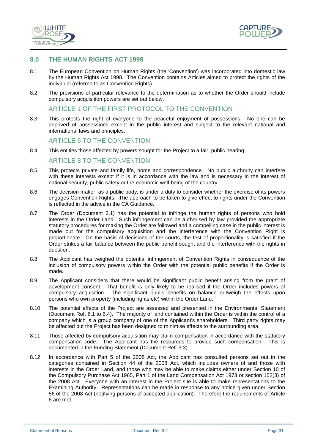



## **8.0 THE HUMAN RIGHTS ACT 1998**

- 8.1 The European Convention on Human Rights (the 'Convention') was incorporated into domestic law by the Human Rights Act 1998. The Convention contains Articles aimed to protect the rights of the individual (referred to as Convention Rights).
- 8.2 The provisions of particular relevance to the determination as to whether the Order should include compulsory acquisition powers are set out below.

#### ARTICLE 1 OF THE FIRST PROTOCOL TO THE CONVENTION

8.3 This protects the right of everyone to the peaceful enjoyment of possessions. No one can be deprived of possessions except in the public interest and subject to the relevant national and international laws and principles.

#### ARTICLE 6 TO THE CONVENTION

8.4 This entitles those affected by powers sought for the Project to a fair, public hearing.

#### ARTICLE 8 TO THE CONVENTION

- 8.5 This protects private and family life, home and correspondence. No public authority can interfere with these interests except if it is in accordance with the law and is necessary in the interest of national security, public safety or the economic well-being of the country.
- 8.6 The decision maker, as a public body, is under a duty to consider whether the exercise of its powers engages Convention Rights. The approach to be taken to give effect to rights under the Convention is reflected in the advice in the CA Guidance.
- 8.7 The Order (Document 2.1) has the potential to infringe the human rights of persons who hold interests in the Order Land. Such infringement can be authorised by law provided the appropriate statutory procedures for making the Order are followed and a compelling case in the public interest is made out for the compulsory acquisition and the interference with the Convention Right is proportionate. On the basis of decisions of the courts, the test of proportionality is satisfied if the Order strikes a fair balance between the public benefit sought and the interference with the rights in question.
- 8.8 The Applicant has weighed the potential infringement of Convention Rights in consequence of the inclusion of compulsory powers within the Order with the potential public benefits if the Order is made.
- 8.9 The Applicant considers that there would be significant public benefit arising from the grant of development consent. That benefit is only likely to be realised if the Order includes powers of compulsory acquisition. The significant public benefits on balance outweigh the effects upon persons who own property (including rights etc) within the Order Land.
- 8.10 The potential effects of the Project are assessed and presented in the Environmental Statement (Document Ref. 6.1 to 6.4). The majority of land contained within the Order is within the control of a company which is a group company of one of the Applicant's shareholders. Third party rights may be affected but the Project has been designed to minimise effects to the surrounding area.
- 8.11 Those affected by compulsory acquisition may claim compensation in accordance with the statutory compensation code. The Applicant has the resources to provide such compensation. This is documented in the Funding Statement (Document Ref. 3.3).
- 8.12 In accordance with Part 5 of the 2008 Act, the Applicant has consulted persons set out in the categories contained in Section 44 of the 2008 Act, which includes owners of and those with interests in the Order Land, and those who may be able to make claims either under Section 10 of the Compulsory Purchase Act 1965, Part 1 of the Land Compensation Act 1973 or section 152(3) of the 2008 Act. Everyone with an interest in the Project site is able to make representations to the Examining Authority. Representations can be made in response to any notice given under Section 56 of the 2008 Act (notifying persons of accepted application). Therefore the requirements of Article 6 are met.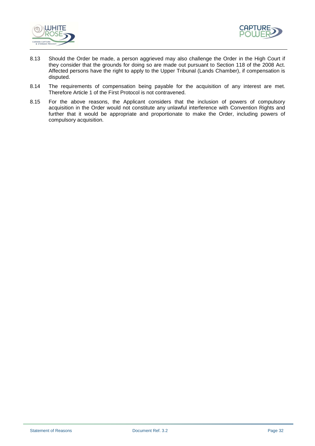



- 8.13 Should the Order be made, a person aggrieved may also challenge the Order in the High Court if they consider that the grounds for doing so are made out pursuant to Section 118 of the 2008 Act. Affected persons have the right to apply to the Upper Tribunal (Lands Chamber), if compensation is disputed.
- 8.14 The requirements of compensation being payable for the acquisition of any interest are met. Therefore Article 1 of the First Protocol is not contravened.
- 8.15 For the above reasons, the Applicant considers that the inclusion of powers of compulsory acquisition in the Order would not constitute any unlawful interference with Convention Rights and further that it would be appropriate and proportionate to make the Order, including powers of compulsory acquisition.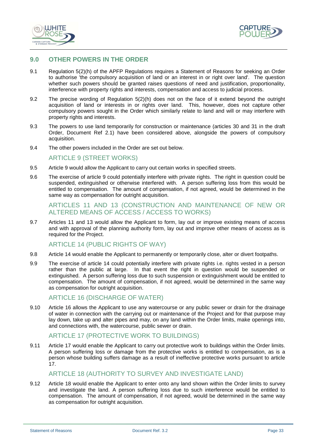



# **9.0 OTHER POWERS IN THE ORDER**

- 9.1 Regulation 5(2)(h) of the APFP Regulations requires a Statement of Reasons for seeking an Order to authorise 'the compulsory acquisition of land or an interest in or right over land'. The question whether such powers should be granted raises questions of need and justification, proportionality, interference with property rights and interests, compensation and access to judicial process.
- 9.2 The precise wording of Regulation 5(2)(h) does not on the face of it extend beyond the outright acquisition of land or interests in or rights over land. This, however, does not capture other compulsory powers sought in the Order which similarly relate to land and will or may interfere with property rights and interests.
- 9.3 The powers to use land temporarily for construction or maintenance (articles 30 and 31 in the draft Order, Document Ref 2.1) have been considered above, alongside the powers of compulsory acquisition.
- 9.4 The other powers included in the Order are set out below.

# ARTICLE 9 (STREET WORKS)

- 9.5 Article 9 would allow the Applicant to carry out certain works in specified streets.
- 9.6 The exercise of article 9 could potentially interfere with private rights. The right in question could be suspended, extinguished or otherwise interfered with. A person suffering loss from this would be entitled to compensation. The amount of compensation, if not agreed, would be determined in the same way as compensation for outright acquisition.

## ARTICLES 11 AND 13 (CONSTRUCTION AND MAINTENANCE OF NEW OR ALTERED MEANS OF ACCESS / ACCESS TO WORKS)

9.7 Articles 11 and 13 would allow the Applicant to form, lay out or improve existing means of access and with approval of the planning authority form, lay out and improve other means of access as is required for the Project.

## ARTICLE 14 (PUBLIC RIGHTS OF WAY)

- 9.8 Article 14 would enable the Applicant to permanently or temporarily close, alter or divert footpaths.
- 9.9 The exercise of article 14 could potentially interfere with private rights i.e. rights vested in a person rather than the public at large. In that event the right in question would be suspended or extinguished. A person suffering loss due to such suspension or extinguishment would be entitled to compensation. The amount of compensation, if not agreed, would be determined in the same way as compensation for outright acquisition.

## ARTICLE 16 (DISCHARGE OF WATER)

9.10 Article 16 allows the Applicant to use any watercourse or any public sewer or drain for the drainage of water in connection with the carrying out or maintenance of the Project and for that purpose may lay down, take up and alter pipes and may, on any land within the Order limits, make openings into, and connections with, the watercourse, public sewer or drain.

## ARTICLE 17 (PROTECTIVE WORK TO BUILDINGS)

9.11 Article 17 would enable the Applicant to carry out protective work to buildings within the Order limits. A person suffering loss or damage from the protective works is entitled to compensation, as is a person whose building suffers damage as a result of ineffective protective works pursuant to article 17.

# ARTICLE 18 (AUTHORITY TO SURVEY AND INVESTIGATE LAND)

9.12 Article 18 would enable the Applicant to enter onto any land shown within the Order limits to survey and investigate the land. A person suffering loss due to such interference would be entitled to compensation. The amount of compensation, if not agreed, would be determined in the same way as compensation for outright acquisition.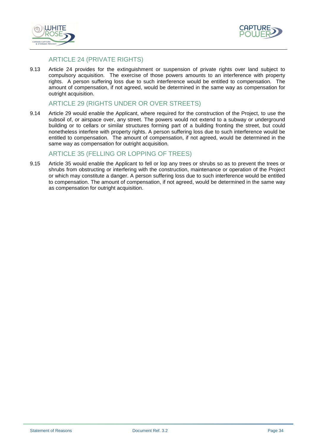



# ARTICLE 24 (PRIVATE RIGHTS)

9.13 Article 24 provides for the extinguishment or suspension of private rights over land subject to compulsory acquisition. The exercise of those powers amounts to an interference with property rights. A person suffering loss due to such interference would be entitled to compensation. The amount of compensation, if not agreed, would be determined in the same way as compensation for outright acquisition.

#### ARTICLE 29 (RIGHTS UNDER OR OVER STREETS)

9.14 Article 29 would enable the Applicant, where required for the construction of the Project, to use the subsoil of, or airspace over, any street. The powers would not extend to a subway or underground building or to cellars or similar structures forming part of a building fronting the street, but could nonetheless interfere with property rights. A person suffering loss due to such interference would be entitled to compensation. The amount of compensation, if not agreed, would be determined in the same way as compensation for outright acquisition.

# ARTICLE 35 (FELLING OR LOPPING OF TREES)

9.15 Article 35 would enable the Applicant to fell or lop any trees or shrubs so as to prevent the trees or shrubs from obstructing or interfering with the construction, maintenance or operation of the Project or which may constitute a danger. A person suffering loss due to such interference would be entitled to compensation. The amount of compensation, if not agreed, would be determined in the same way as compensation for outright acquisition.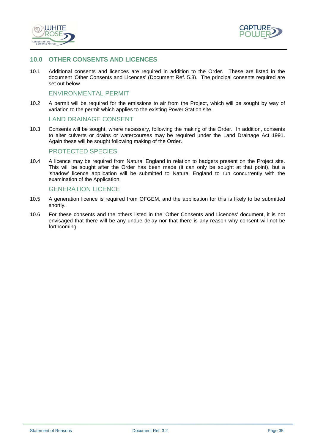



# **10.0 OTHER CONSENTS AND LICENCES**

10.1 Additional consents and licences are required in addition to the Order. These are listed in the document 'Other Consents and Licences' (Document Ref. 5.3). The principal consents required are set out below.

#### ENVIRONMENTAL PERMIT

10.2 A permit will be required for the emissions to air from the Project, which will be sought by way of variation to the permit which applies to the existing Power Station site.

#### LAND DRAINAGE CONSENT

10.3 Consents will be sought, where necessary, following the making of the Order. In addition, consents to alter culverts or drains or watercourses may be required under the Land Drainage Act 1991. Again these will be sought following making of the Order.

#### PROTECTED SPECIES

10.4 A licence may be required from Natural England in relation to badgers present on the Project site. This will be sought after the Order has been made (it can only be sought at that point), but a 'shadow' licence application will be submitted to Natural England to run concurrently with the examination of the Application.

#### GENERATION LICENCE

- 10.5 A generation licence is required from OFGEM, and the application for this is likely to be submitted shortly.
- 10.6 For these consents and the others listed in the 'Other Consents and Licences' document, it is not envisaged that there will be any undue delay nor that there is any reason why consent will not be forthcoming.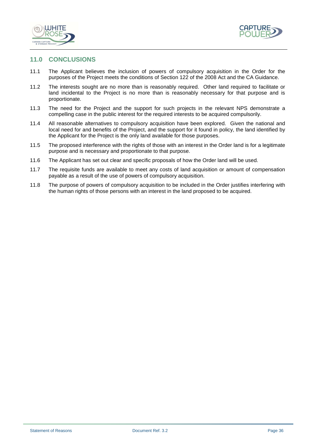



## **11.0 CONCLUSIONS**

- 11.1 The Applicant believes the inclusion of powers of compulsory acquisition in the Order for the purposes of the Project meets the conditions of Section 122 of the 2008 Act and the CA Guidance.
- 11.2 The interests sought are no more than is reasonably required. Other land required to facilitate or land incidental to the Project is no more than is reasonably necessary for that purpose and is proportionate.
- 11.3 The need for the Project and the support for such projects in the relevant NPS demonstrate a compelling case in the public interest for the required interests to be acquired compulsorily.
- 11.4 All reasonable alternatives to compulsory acquisition have been explored. Given the national and local need for and benefits of the Project, and the support for it found in policy, the land identified by the Applicant for the Project is the only land available for those purposes.
- 11.5 The proposed interference with the rights of those with an interest in the Order land is for a legitimate purpose and is necessary and proportionate to that purpose.
- 11.6 The Applicant has set out clear and specific proposals of how the Order land will be used.
- 11.7 The requisite funds are available to meet any costs of land acquisition or amount of compensation payable as a result of the use of powers of compulsory acquisition.
- 11.8 The purpose of powers of compulsory acquisition to be included in the Order justifies interfering with the human rights of those persons with an interest in the land proposed to be acquired.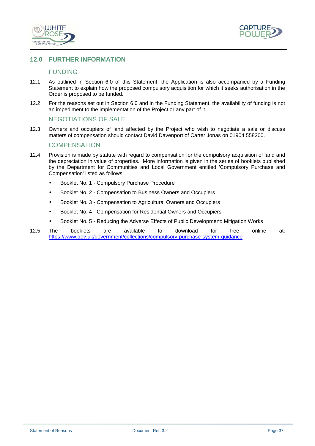



# **12.0 FURTHER INFORMATION**

# FUNDING

- 12.1 As outlined in Section 6.0 of this Statement, the Application is also accompanied by a Funding Statement to explain how the proposed compulsory acquisition for which it seeks authorisation in the Order is proposed to be funded.
- 12.2 For the reasons set out in Section 6.0 and in the Funding Statement, the availability of funding is not an impediment to the implementation of the Project or any part of it.

#### NEGOTIATIONS OF SALE

12.3 Owners and occupiers of land affected by the Project who wish to negotiate a sale or discuss matters of compensation should contact David Davenport of Carter Jonas on 01904 558200.

#### **COMPENSATION**

- 12.4 Provision is made by statute with regard to compensation for the compulsory acquisition of land and the depreciation in value of properties. More information is given in the series of booklets published by the Department for Communities and Local Government entitled 'Compulsory Purchase and Compensation' listed as follows:
	- Booklet No. 1 Compulsory Purchase Procedure
	- Booklet No. 2 Compensation to Business Owners and Occupiers
	- Booklet No. 3 Compensation to Agricultural Owners and Occupiers
	- Booklet No. 4 Compensation for Residential Owners and Occupiers
	- Booklet No. 5 Reducing the Adverse Effects of Public Development: Mitigation Works
- 12.5 The booklets are available to download for free online at: https://www.gov.uk/government/collections/compulsory-purchase-system-guidance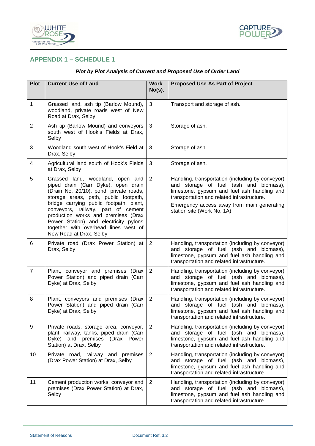



# **APPENDIX 1 – SCHEDULE 1**

| <b>Plot</b>    | <b>Current Use of Land</b>                                                                                                                                                                                                                                                                                                                                                                      | <b>Work</b><br>$No(s)$ . | <b>Proposed Use As Part of Project</b>                                                                                                                                                                                                                              |
|----------------|-------------------------------------------------------------------------------------------------------------------------------------------------------------------------------------------------------------------------------------------------------------------------------------------------------------------------------------------------------------------------------------------------|--------------------------|---------------------------------------------------------------------------------------------------------------------------------------------------------------------------------------------------------------------------------------------------------------------|
| 1              | Grassed land, ash tip (Barlow Mound),<br>woodland, private roads west of New<br>Road at Drax, Selby                                                                                                                                                                                                                                                                                             | 3                        | Transport and storage of ash.                                                                                                                                                                                                                                       |
| $\overline{2}$ | Ash tip (Barlow Mound) and conveyors<br>south west of Hook's Fields at Drax,<br>Selby                                                                                                                                                                                                                                                                                                           | 3                        | Storage of ash.                                                                                                                                                                                                                                                     |
| 3              | Woodland south west of Hook's Field at<br>Drax, Selby                                                                                                                                                                                                                                                                                                                                           | 3                        | Storage of ash.                                                                                                                                                                                                                                                     |
| 4              | Agricultural land south of Hook's Fields<br>at Drax, Selby                                                                                                                                                                                                                                                                                                                                      | 3                        | Storage of ash.                                                                                                                                                                                                                                                     |
| 5              | Grassed land, woodland, open and<br>piped drain (Carr Dyke), open drain<br>(Drain No. 20/10), pond, private roads,<br>storage areas, path, public footpath,<br>bridge carrying public footpath, plant,<br>conveyors, railway, part of cement<br>production works and premises (Drax<br>Power Station) and electricity pylons<br>together with overhead lines west of<br>New Road at Drax, Selby | 2                        | Handling, transportation (including by conveyor)<br>and storage of fuel (ash and biomass),<br>limestone, gypsum and fuel ash handling and<br>transportation and related infrastructure.<br>Emergency access away from main generating<br>station site (Work No. 1A) |
| 6              | Private road (Drax Power Station) at<br>Drax, Selby                                                                                                                                                                                                                                                                                                                                             | 2                        | Handling, transportation (including by conveyor)<br>and storage of fuel (ash and biomass),<br>limestone, gypsum and fuel ash handling and<br>transportation and related infrastructure.                                                                             |
| $\overline{7}$ | Plant, conveyor and premises (Drax<br>Power Station) and piped drain (Carr<br>Dyke) at Drax, Selby                                                                                                                                                                                                                                                                                              | 2                        | Handling, transportation (including by conveyor)<br>and storage of fuel (ash and biomass),<br>limestone, gypsum and fuel ash handling and<br>transportation and related infrastructure.                                                                             |
| 8              | Plant, conveyors and premises (Drax<br>Power Station) and piped drain (Carr<br>Dyke) at Drax, Selby                                                                                                                                                                                                                                                                                             | $\overline{2}$           | Handling, transportation (including by conveyor)<br>and storage of fuel (ash and biomass),<br>limestone, gypsum and fuel ash handling and<br>transportation and related infrastructure.                                                                             |
| 9              | Private roads, storage area, conveyor,<br>plant, railway, tanks, piped drain (Carr<br>and premises (Drax Power<br>Dyke)<br>Station) at Drax, Selby                                                                                                                                                                                                                                              | 2                        | Handling, transportation (including by conveyor)<br>and storage of fuel (ash and biomass),<br>limestone, gypsum and fuel ash handling and<br>transportation and related infrastructure.                                                                             |
| 10             | Private road, railway and premises<br>(Drax Power Station) at Drax, Selby                                                                                                                                                                                                                                                                                                                       | $\overline{2}$           | Handling, transportation (including by conveyor)<br>and storage of fuel (ash and biomass),<br>limestone, gypsum and fuel ash handling and<br>transportation and related infrastructure.                                                                             |
| 11             | Cement production works, conveyor and<br>premises (Drax Power Station) at Drax,<br>Selby                                                                                                                                                                                                                                                                                                        | 2                        | Handling, transportation (including by conveyor)<br>and storage of fuel (ash and biomass),<br>limestone, gypsum and fuel ash handling and<br>transportation and related infrastructure.                                                                             |

# **Plot by Plot Analysis of Current and Proposed Use of Order Land**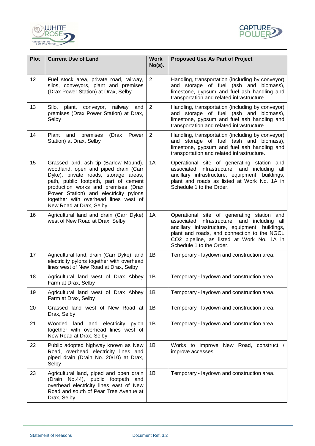



| <b>Plot</b> | <b>Current Use of Land</b>                                                                                                                                                                                                                                                                                        | <b>Work</b><br>$No(s)$ . | <b>Proposed Use As Part of Project</b>                                                                                                                                                                                                                                |
|-------------|-------------------------------------------------------------------------------------------------------------------------------------------------------------------------------------------------------------------------------------------------------------------------------------------------------------------|--------------------------|-----------------------------------------------------------------------------------------------------------------------------------------------------------------------------------------------------------------------------------------------------------------------|
| 12          | Fuel stock area, private road, railway,<br>silos, conveyors, plant and premises<br>(Drax Power Station) at Drax, Selby                                                                                                                                                                                            | 2                        | Handling, transportation (including by conveyor)<br>and storage of fuel (ash and biomass),<br>limestone, gypsum and fuel ash handling and<br>transportation and related infrastructure.                                                                               |
| 13          | Silo,<br>plant, conveyor, railway and<br>premises (Drax Power Station) at Drax,<br>Selby                                                                                                                                                                                                                          | $\overline{2}$           | Handling, transportation (including by conveyor)<br>and storage of fuel (ash and biomass),<br>limestone, gypsum and fuel ash handling and<br>transportation and related infrastructure.                                                                               |
| 14          | Plant and premises<br>(Drax Power<br>Station) at Drax, Selby                                                                                                                                                                                                                                                      | 2                        | Handling, transportation (including by conveyor)<br>and storage of fuel (ash and biomass),<br>limestone, gypsum and fuel ash handling and<br>transportation and related infrastructure.                                                                               |
| 15          | Grassed land, ash tip (Barlow Mound),<br>woodland, open and piped drain (Carr<br>Dyke), private roads, storage areas,<br>path, public footpath, part of cement<br>production works and premises (Drax<br>Power Station) and electricity pylons<br>together with overhead lines west of<br>New Road at Drax, Selby | 1A                       | Operational site of generating station and<br>associated infrastructure, and including all<br>ancillary infrastructure, equipment, buildings,<br>plant and roads as listed at Work No. 1A in<br>Schedule 1 to the Order.                                              |
| 16          | Agricultural land and drain (Carr Dyke)<br>west of New Road at Drax, Selby                                                                                                                                                                                                                                        | 1A                       | Operational site of generating station and<br>associated infrastructure, and including all<br>ancillary infrastructure, equipment, buildings,<br>plant and roads, and connection to the NGCL<br>CO2 pipeline, as listed at Work No. 1A in<br>Schedule 1 to the Order. |
| 17          | Agricultural land, drain (Carr Dyke), and<br>electricity pylons together with overhead<br>lines west of New Road at Drax, Selby                                                                                                                                                                                   | 1B                       | Temporary - laydown and construction area.                                                                                                                                                                                                                            |
| 18          | Agricultural land west of Drax Abbey<br>Farm at Drax, Selby                                                                                                                                                                                                                                                       | 1B                       | Temporary - laydown and construction area.                                                                                                                                                                                                                            |
| 19          | Agricultural land west of Drax Abbey<br>Farm at Drax, Selby                                                                                                                                                                                                                                                       | 1B                       | Temporary - laydown and construction area.                                                                                                                                                                                                                            |
| 20          | Grassed land west of New Road at<br>Drax, Selby                                                                                                                                                                                                                                                                   | 1B                       | Temporary - laydown and construction area.                                                                                                                                                                                                                            |
| 21          | Wooded land and electricity pylon<br>together with overhead lines west of<br>New Road at Drax, Selby                                                                                                                                                                                                              | 1B                       | Temporary - laydown and construction area.                                                                                                                                                                                                                            |
| 22          | Public adopted highway known as New<br>Road, overhead electricity lines and<br>piped drain (Drain No. 20/10) at Drax,<br>Selby                                                                                                                                                                                    | 1B                       | Works to improve New Road, construct /<br>improve accesses.                                                                                                                                                                                                           |
| 23          | Agricultural land, piped and open drain<br>(Drain No.44), public footpath and<br>overhead electricity lines east of New<br>Road and south of Pear Tree Avenue at<br>Drax, Selby                                                                                                                                   | 1B                       | Temporary - laydown and construction area.                                                                                                                                                                                                                            |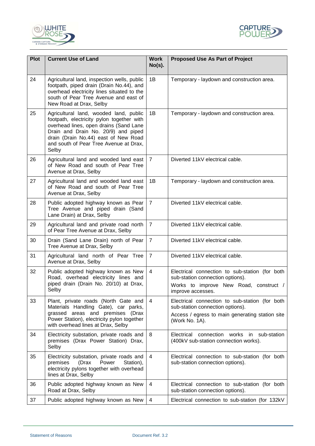



| <b>Plot</b> | <b>Current Use of Land</b>                                                                                                                                                                                                                                      | <b>Work</b><br>$No(s)$ . | <b>Proposed Use As Part of Project</b>                                                                                                                  |
|-------------|-----------------------------------------------------------------------------------------------------------------------------------------------------------------------------------------------------------------------------------------------------------------|--------------------------|---------------------------------------------------------------------------------------------------------------------------------------------------------|
| 24          | Agricultural land, inspection wells, public<br>footpath, piped drain (Drain No.44), and<br>overhead electricity lines situated to the<br>south of Pear Tree Avenue and east of<br>New Road at Drax, Selby                                                       | 1B                       | Temporary - laydown and construction area.                                                                                                              |
| 25          | Agricultural land, wooded land, public<br>footpath, electricity pylon together with<br>overhead lines, open drains (Sand Lane<br>Drain and Drain No. 20/9) and piped<br>drain (Drain No.44) east of New Road<br>and south of Pear Tree Avenue at Drax,<br>Selby | 1B                       | Temporary - laydown and construction area.                                                                                                              |
| 26          | Agricultural land and wooded land east<br>of New Road and south of Pear Tree<br>Avenue at Drax, Selby                                                                                                                                                           | $\overline{7}$           | Diverted 11kV electrical cable.                                                                                                                         |
| 27          | Agricultural land and wooded land east<br>of New Road and south of Pear Tree<br>Avenue at Drax, Selby                                                                                                                                                           | 1B                       | Temporary - laydown and construction area.                                                                                                              |
| 28          | Public adopted highway known as Pear<br>Tree Avenue and piped drain (Sand<br>Lane Drain) at Drax, Selby                                                                                                                                                         | $\overline{7}$           | Diverted 11kV electrical cable.                                                                                                                         |
| 29          | Agricultural land and private road north<br>of Pear Tree Avenue at Drax, Selby                                                                                                                                                                                  | $\overline{7}$           | Diverted 11kV electrical cable.                                                                                                                         |
| 30          | Drain (Sand Lane Drain) north of Pear<br>Tree Avenue at Drax, Selby                                                                                                                                                                                             | $\overline{7}$           | Diverted 11kV electrical cable.                                                                                                                         |
| 31          | Agricultural land north of Pear Tree<br>Avenue at Drax, Selby                                                                                                                                                                                                   | $\overline{7}$           | Diverted 11kV electrical cable.                                                                                                                         |
| 32          | Public adopted highway known as New<br>Road, overhead electricity lines and<br>piped drain (Drain No. 20/10) at Drax,<br>Selby                                                                                                                                  | $\overline{4}$           | Electrical connection to sub-station (for both<br>sub-station connection options).<br>Works to improve New Road, construct /<br>improve accesses.       |
| 33          | Plant, private roads (North Gate and<br>Materials Handling Gate), car parks,<br>grassed areas and premises (Drax<br>Power Station), electricity pylon together<br>with overhead lines at Drax, Selby                                                            | $\overline{4}$           | Electrical connection to sub-station (for both<br>sub-station connection options).<br>Access / egress to main generating station site<br>(Work No. 1A). |
| 34          | Electricity substation, private roads and<br>premises (Drax Power Station) Drax,<br>Selby                                                                                                                                                                       | 8                        | Electrical connection works in sub-station<br>(400kV sub-station connection works).                                                                     |
| 35          | Electricity substation, private roads and<br>Power<br>premises<br>(Drax<br>Station),<br>electricity pylons together with overhead<br>lines at Drax, Selby                                                                                                       | 4                        | Electrical connection to sub-station (for both<br>sub-station connection options).                                                                      |
| 36          | Public adopted highway known as New<br>Road at Drax, Selby                                                                                                                                                                                                      | 4                        | Electrical connection to sub-station (for both<br>sub-station connection options).                                                                      |
| 37          | Public adopted highway known as New                                                                                                                                                                                                                             | 4                        | Electrical connection to sub-station (for 132kV                                                                                                         |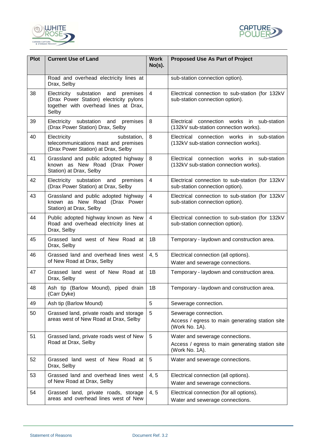



| <b>Plot</b> | <b>Current Use of Land</b>                                                                                                          | <b>Work</b><br>$No(s)$ . | <b>Proposed Use As Part of Project</b>                                                 |
|-------------|-------------------------------------------------------------------------------------------------------------------------------------|--------------------------|----------------------------------------------------------------------------------------|
|             | Road and overhead electricity lines at<br>Drax, Selby                                                                               |                          | sub-station connection option).                                                        |
| 38          | Electricity substation and<br>premises<br>(Drax Power Station) electricity pylons<br>together with overhead lines at Drax,<br>Selby | $\overline{4}$           | Electrical connection to sub-station (for 132kV<br>sub-station connection option).     |
| 39          | Electricity substation and<br>premises<br>(Drax Power Station) Drax, Selby                                                          | 8                        | Electrical connection works<br>in sub-station<br>(132kV sub-station connection works). |
| 40          | Electricity<br>substation,<br>telecommunications mast and premises<br>(Drax Power Station) at Drax, Selby                           | 8                        | Electrical connection works in sub-station<br>(132kV sub-station connection works).    |
| 41          | Grassland and public adopted highway<br>known as New Road (Drax Power<br>Station) at Drax, Selby                                    | 8                        | Electrical connection works<br>in sub-station<br>(132kV sub-station connection works). |
| 42          | Electricity substation and<br>premises<br>(Drax Power Station) at Drax, Selby                                                       | $\overline{4}$           | Electrical connection to sub-station (for 132kV<br>sub-station connection option).     |
| 43          | Grassland and public adopted highway<br>known as New Road (Drax Power<br>Station) at Drax, Selby                                    | $\overline{4}$           | Electrical connection to sub-station (for 132kV<br>sub-station connection option).     |
| 44          | Public adopted highway known as New<br>Road and overhead electricity lines at<br>Drax, Selby                                        | $\overline{4}$           | Electrical connection to sub-station (for 132kV<br>sub-station connection option).     |
| 45          | Grassed land west of New Road at<br>Drax, Selby                                                                                     | 1B                       | Temporary - laydown and construction area.                                             |
| 46          | Grassed land and overhead lines west<br>of New Road at Drax, Selby                                                                  | 4, 5                     | Electrical connection (all options).<br>Water and sewerage connections.                |
| 47          | Grassed land west of New Road at<br>Drax, Selby                                                                                     | 1B                       | Temporary - laydown and construction area.                                             |
| 48          | Ash tip (Barlow Mound), piped drain<br>(Carr Dyke)                                                                                  | 1B                       | Temporary - laydown and construction area.                                             |
| 49          | Ash tip (Barlow Mound)                                                                                                              | 5                        | Sewerage connection.                                                                   |
| 50          | Grassed land, private roads and storage                                                                                             | 5                        | Sewerage connection.                                                                   |
|             | areas west of New Road at Drax, Selby                                                                                               |                          | Access / egress to main generating station site<br>(Work No. 1A).                      |
| 51          | Grassed land, private roads west of New                                                                                             | 5                        | Water and sewerage connections.                                                        |
|             | Road at Drax, Selby                                                                                                                 |                          | Access / egress to main generating station site<br>(Work No. 1A).                      |
| 52          | Grassed land west of New Road at<br>Drax, Selby                                                                                     | 5                        | Water and sewerage connections.                                                        |
| 53          | Grassed land and overhead lines west                                                                                                | 4, 5                     | Electrical connection (all options).                                                   |
|             | of New Road at Drax, Selby                                                                                                          |                          | Water and sewerage connections.                                                        |
| 54          | Grassed land, private roads, storage<br>areas and overhead lines west of New                                                        | 4, 5                     | Electrical connection (for all options).<br>Water and sewerage connections.            |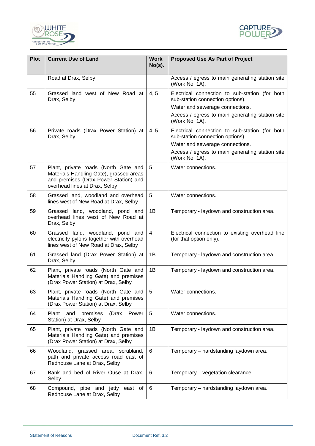



| <b>Plot</b> | <b>Current Use of Land</b>                                                                                                                                | <b>Work</b><br>$No(s)$ . | <b>Proposed Use As Part of Project</b>                                                                                                                                                     |
|-------------|-----------------------------------------------------------------------------------------------------------------------------------------------------------|--------------------------|--------------------------------------------------------------------------------------------------------------------------------------------------------------------------------------------|
|             | Road at Drax, Selby                                                                                                                                       |                          | Access / egress to main generating station site<br>(Work No. 1A).                                                                                                                          |
| 55          | Grassed land west of New Road at<br>Drax, Selby                                                                                                           | 4, 5                     | Electrical connection to sub-station (for both<br>sub-station connection options).<br>Water and sewerage connections.<br>Access / egress to main generating station site<br>(Work No. 1A). |
| 56          | Private roads (Drax Power Station) at<br>Drax, Selby                                                                                                      | 4, 5                     | Electrical connection to sub-station (for both<br>sub-station connection options).<br>Water and sewerage connections.<br>Access / egress to main generating station site<br>(Work No. 1A). |
| 57          | Plant, private roads (North Gate and<br>Materials Handling Gate), grassed areas<br>and premises (Drax Power Station) and<br>overhead lines at Drax, Selby | 5                        | Water connections.                                                                                                                                                                         |
| 58          | Grassed land, woodland and overhead<br>lines west of New Road at Drax, Selby                                                                              | 5                        | Water connections.                                                                                                                                                                         |
| 59          | Grassed land, woodland, pond and<br>overhead lines west of New Road at<br>Drax, Selby                                                                     | 1B                       | Temporary - laydown and construction area.                                                                                                                                                 |
| 60          | Grassed land, woodland, pond and<br>electricity pylons together with overhead<br>lines west of New Road at Drax, Selby                                    | $\overline{4}$           | Electrical connection to existing overhead line<br>(for that option only).                                                                                                                 |
| 61          | Grassed land (Drax Power Station) at<br>Drax, Selby                                                                                                       | 1B                       | Temporary - laydown and construction area.                                                                                                                                                 |
| 62          | Plant, private roads (North Gate and<br>Materials Handling Gate) and premises<br>(Drax Power Station) at Drax, Selby                                      | 1B                       | Temporary - laydown and construction area.                                                                                                                                                 |
| 63          | Plant, private roads (North Gate and<br>Materials Handling Gate) and premises<br>(Drax Power Station) at Drax, Selby                                      | $5\phantom{.0}$          | Water connections.                                                                                                                                                                         |
| 64          | Plant<br>and<br>premises<br>(Drax Power<br>Station) at Drax, Selby                                                                                        | 5                        | Water connections.                                                                                                                                                                         |
| 65          | Plant, private roads (North Gate and<br>Materials Handling Gate) and premises<br>(Drax Power Station) at Drax, Selby                                      | 1B                       | Temporary - laydown and construction area.                                                                                                                                                 |
| 66          | Woodland, grassed area, scrubland,<br>path and private access road east of<br>Redhouse Lane at Drax, Selby                                                | 6                        | Temporary - hardstanding laydown area.                                                                                                                                                     |
| 67          | Bank and bed of River Ouse at Drax,<br>Selby                                                                                                              | 6                        | Temporary - vegetation clearance.                                                                                                                                                          |
| 68          | Compound, pipe and jetty<br>east of<br>Redhouse Lane at Drax, Selby                                                                                       | 6                        | Temporary - hardstanding laydown area.                                                                                                                                                     |